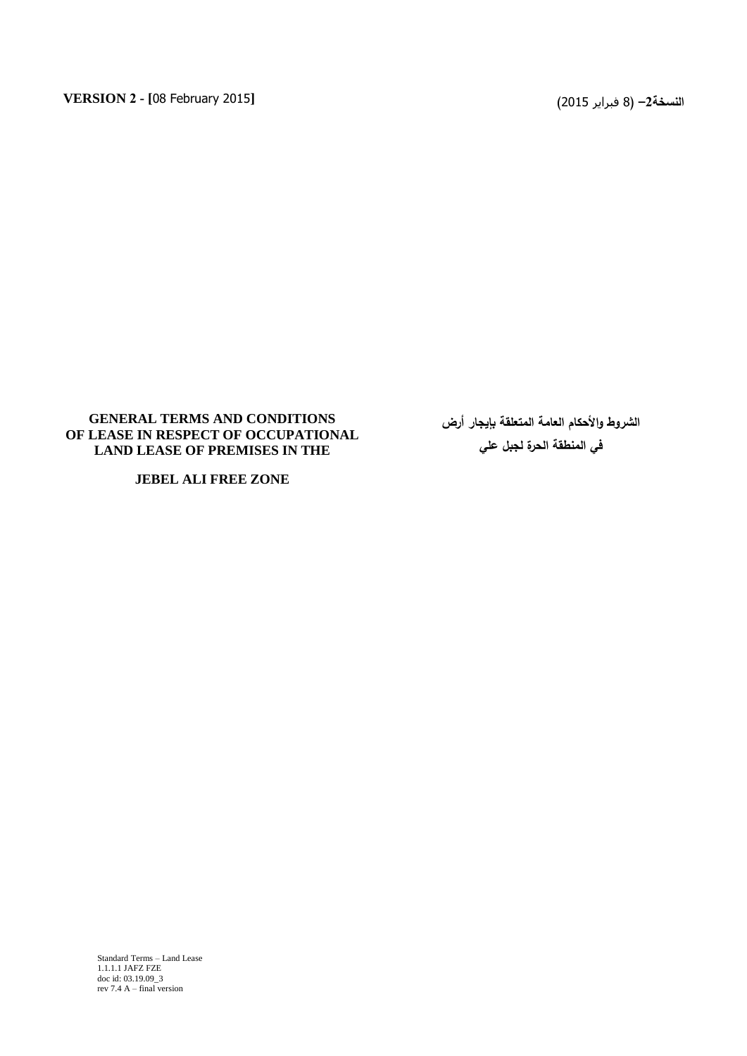## **GENERAL TERMS AND CONDITIONS OF LEASE IN RESPECT OF OCCUPATIONAL LAND LEASE OF PREMISES IN THE**

**JEBEL ALI FREE ZONE**

**الشروط واألحكام العامة المتعمقة بإيجار أرض في المنطقة الحرة لجبل عمي**

Standard Terms – Land Lease 1.1.1.1 JAFZ FZE doc id: 03.19.09\_3 rev 7.4 A – final version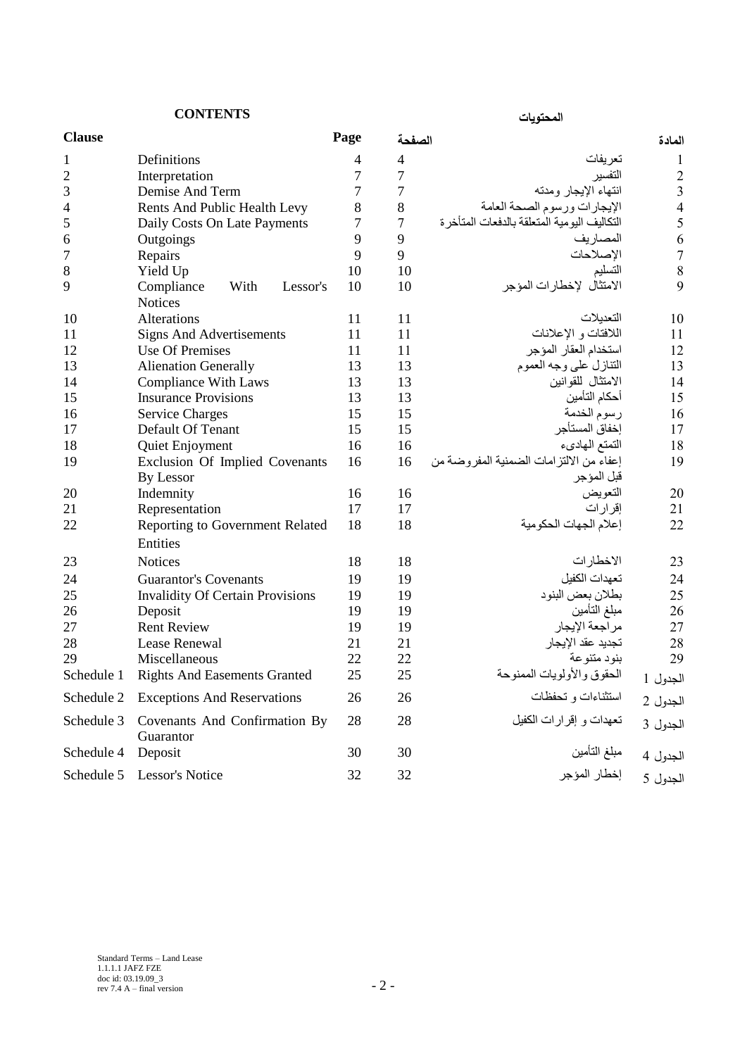| <b>CONTENTS</b> |                                                  |      | المحتويات        |                                             |                |
|-----------------|--------------------------------------------------|------|------------------|---------------------------------------------|----------------|
| <b>Clause</b>   |                                                  | Page | الصفحة           |                                             | المادة         |
| 1               | Definitions                                      | 4    | $\overline{4}$   | تعريفات                                     | 1              |
| $\overline{c}$  | Interpretation                                   | 7    | 7                | التفسير                                     | $\overline{c}$ |
| 3               | Demise And Term                                  | 7    | 7                | انتهاء الإيجار ومدته                        | 3              |
| 4               | Rents And Public Health Levy                     | 8    | 8                | الإيجارات ورسوم الصحة العامة                | $\overline{4}$ |
| 5               | Daily Costs On Late Payments                     | 7    | $\boldsymbol{7}$ | التكاليف اليومية المتعلقة بالدفعات المتأخرة | 5              |
| 6               | Outgoings                                        | 9    | 9                | المصار يف                                   | 6              |
| 7               | Repairs                                          | 9    | 9                | الإصلاحات                                   | $\overline{7}$ |
| 8               | Yield Up                                         | 10   | 10               | التسليم                                     | 8              |
| 9               | Compliance<br>With<br>Lessor's<br><b>Notices</b> | 10   | 10               | الامتثال لإخطارات المؤجر                    | 9              |
| 10              | Alterations                                      | 11   | 11               | التعديلات                                   | 10             |
| 11              | <b>Signs And Advertisements</b>                  | 11   | 11               | اللافتات و الإعلانات                        | 11             |
| 12              | <b>Use Of Premises</b>                           | 11   | 11               | استخدام العقار المؤجر                       | 12             |
| 13              | <b>Alienation Generally</b>                      | 13   | 13               | التنازل على وجه العموم                      | 13             |
| 14              | <b>Compliance With Laws</b>                      | 13   | 13               | الامتثال للقوانين                           | 14             |
| 15              | <b>Insurance Provisions</b>                      | 13   | 13               | أحكام التأمين                               | 15             |
| 16              | <b>Service Charges</b>                           | 15   | 15               | رسوم الخدمة                                 | 16             |
| 17              | Default Of Tenant                                | 15   | 15               | إخفاق المستأجر                              | 17             |
| 18              | Quiet Enjoyment                                  | 16   | 16               | التمتع المهادىء                             | 18             |
| 19              | Exclusion Of Implied Covenants                   | 16   | 16               | إعفاء من الالتز امات الضمنية المفر وضنة من  | 19             |
|                 | By Lessor                                        |      |                  | قبل المؤجر                                  |                |
| 20              | Indemnity                                        | 16   | 16               | التعويض                                     | 20             |
| 21              | Representation                                   | 17   | 17               | إقرارات                                     | 21             |
| 22              | Reporting to Government Related                  | 18   | 18               | إعلام الجهات الحكومية                       | 22             |
|                 | Entities                                         |      |                  |                                             |                |
| 23              | <b>Notices</b>                                   | 18   | 18               | الاخطارات                                   | 23             |
| 24              | <b>Guarantor's Covenants</b>                     | 19   | 19               | تعهدات الكفيل                               | 24             |
| 25              | <b>Invalidity Of Certain Provisions</b>          | 19   | 19               | بطلان بعض البنود                            | 25             |
| 26              | Deposit                                          | 19   | 19               | مبلغ التأمين                                | 26             |
| 27              | <b>Rent Review</b>                               | 19   | 19               | مراجعة الإيجار                              | 27             |
| 28              | Lease Renewal                                    | 21   | 21               | تجديد عقد الإيجار                           | 28             |
| 29              | Miscellaneous                                    | 22   | 22               | بنود متنوعة                                 | 29             |
| Schedule 1      | <b>Rights And Easements Granted</b>              | 25   | 25               | الحقوق والأولويات الممنوحة                  | الجدول 1       |
| Schedule 2      | <b>Exceptions And Reservations</b>               | 26   | 26               | استثناءات و تحفظات                          | الجدول 2       |
| Schedule 3      | Covenants And Confirmation By<br>Guarantor       | 28   | 28               | تعهدات و إقرارات الكفيل                     | الجدول 3       |
| Schedule 4      | Deposit                                          | 30   | 30               | مبلغ التأمين                                | الجدول 4       |
| Schedule 5      | Lessor's Notice                                  | 32   | 32               | إخطار المؤجر                                | الجدول 5       |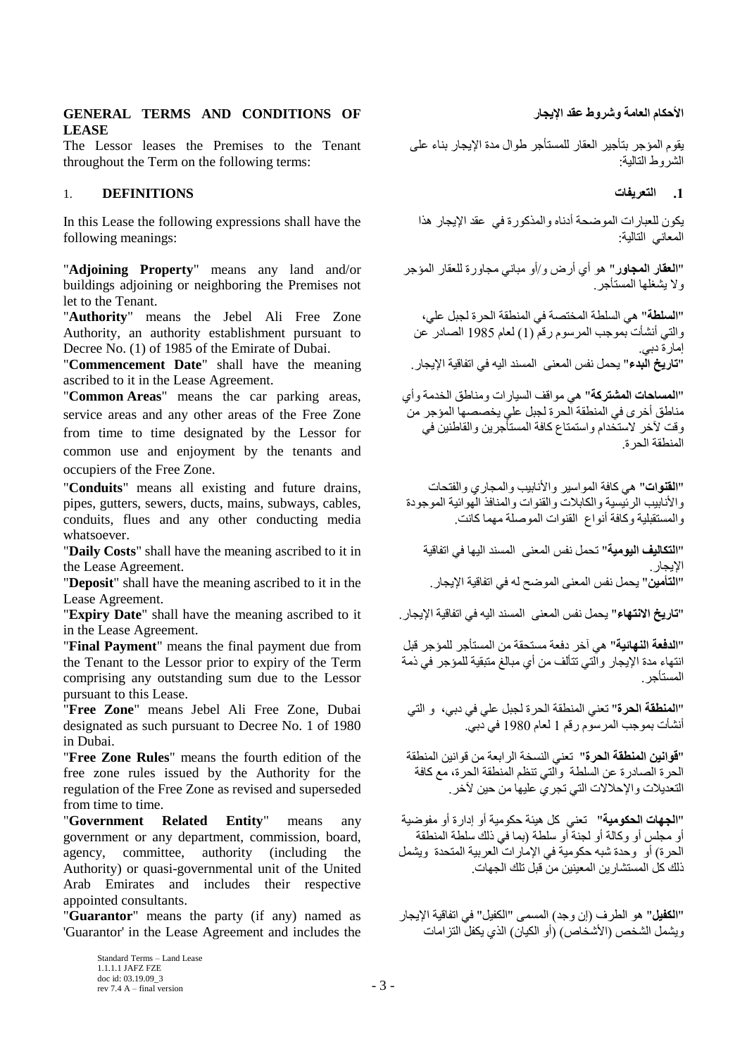## الأحكام العامة وشروط عقد الإبحار العامة وشروط عقد الإبحار العامة وشروط عقد الإبحار المستخدم العامة وشروط عقد ال **LEASE**

The Lessor leases the Premises to the Tenant throughout the Term on the following terms:

## **.1 انتؼشيفاث DEFINITIONS** 1.

In this Lease the following expressions shall have the following meanings:

"**Adjoining Property**" means any land and/or buildings adjoining or neighboring the Premises not let to the Tenant.

"**Authority**" means the Jebel Ali Free Zone Authority, an authority establishment pursuant to Decree No. (1) of 1985 of the Emirate of Dubai.

"**Commencement Date**" shall have the meaning ascribed to it in the Lease Agreement.

"**Common Areas**" means the car parking areas, service areas and any other areas of the Free Zone from time to time designated by the Lessor for common use and enjoyment by the tenants and occupiers of the Free Zone.

"**Conduits**" means all existing and future drains, pipes, gutters, sewers, ducts, mains, subways, cables, conduits, flues and any other conducting media whatsoever.

"**Daily Costs**" shall have the meaning ascribed to it in the Lease Agreement.

"**Deposit**" shall have the meaning ascribed to it in the Lease Agreement.

"**تاسيخ االَتهاء**" ٣ؾَٔ ٗلٌ أُؼ٠٘ اَُ٘ٔل اٚ٤ُ ك٢ ارلبه٤خ اإل٣غبه. it to ascribed meaning the have shall" **Date Expiry**" in the Lease Agreement.

"**Final Payment**" means the final payment due from the Tenant to the Lessor prior to expiry of the Term comprising any outstanding sum due to the Lessor pursuant to this Lease.

"**Free Zone**" means Jebel Ali Free Zone, Dubai designated as such pursuant to Decree No. 1 of 1980 in Dubai.

"**Free Zone Rules**" means the fourth edition of the free zone rules issued by the Authority for the regulation of the Free Zone as revised and superseded from time to time.

"**Government Related Entity**" means any government or any department, commission, board, agency, committee, authority (including the Authority) or quasi-governmental unit of the United Arab Emirates and includes their respective appointed consultants.

"**Guarantor**" means the party (if any) named as 'Guarantor' in the Lease Agreement and includes the

يقوم المؤجر بتأجير العقار للمستأجر طوال مدة الإيجار بناء على الشر وط التالبة:

يكون للعبارات الموضحة أدناه والمذكورة في عقد الإيجار هذا المعاني التالية:

"ا**لنقار المجاور**" هو أي أرض و/أو مباني مجاورة للعقار المؤجر ولا يشغلها المستأجر

"ا**لسلطة**" هي السلطة المختصة في المنطقة الحرة لجبل علي، والتي أنشأت بموجب المرسوم رقمّ (1) لعام 1985 الصادر ً عن إمار ة دبي<sub>.</sub><br>"**تاريخ البدء**" يحمل نفس المعنى المسند اليه في اتفاقية الإيجار <sub>.</sub>

"**المساحات المشتركة**" هي مو اقف السيار ات و مناطق الخدمة و أي مناطق أخر ي في المنطقة اُلحر ة لجبل على يخصصها المؤجر من ۖ وقت لآخر لاستخدام واستمتاع كافة المستأجرين والقاطنين في الْمنطقة الْحر ة

"ا**لقنوات**" هي كافة المواسير والأنابيب والمجاري والفتحات و الأنابيب الر بُنسية و الكابلات و القنو ات و المنافذ الْهو ائية الموجودة و المستقبلية وكافة أنواع القنوات الموصلة مهما كانت.

"**التكاليف اليومية"** تحمل نفس المعنى المسند اليها في اتفاقية الإيجار <sub>.</sub><br>"ا**لتأمين"** يحمل نفس المعنى الموضح له في اتفاقية الإيجار <sub>.</sub>

"ا**لدفعة النهائية**" هي آخر دفعة مستحقة من المستأجر للمؤجر قبل انتهاء مدة الإيجار والّتي تتألف من أي مبالغ متبقية للمؤجر في ذمة المستأجر

"ا**لمنطقة الحرة**" تعني المنطقة الحرة لجبل على في دبي، و التي أنشأت بموجب المرسوم رقم 1 لعام 1980 في دبي.

"**قوانين المنطقة الحرة**" تعني النسخة الر ابعة من قوانين المنطقة الحرة الصـادرة عن السلطة ۖ وآلتي تنظم المنطقة الحرة، مع كافة النعديلات والإحلالات التي تجريَ عليها من حين لآخر.

"**الجهات الحكومية**" تعني كل هبئة حكومية أو إدار ة أو مفوضية أو مجلس أو وكالة أو لجنة أو سلطة (بما في ذلك سلطة المنطقة الحرة) أو وحدة شبه حكومية في الإمارات العربية المتحدة ويشمل ذلك كل المستشار بن المعينين من قبل تلك الجهات

"ا**لكفيل**" هو الطرف (إن وجد) المسمى "الكفيل" في اتفاقية الإيجار ويشمل الشخص (الأشخاص) (أو الكيان) الذي يكفل التز امات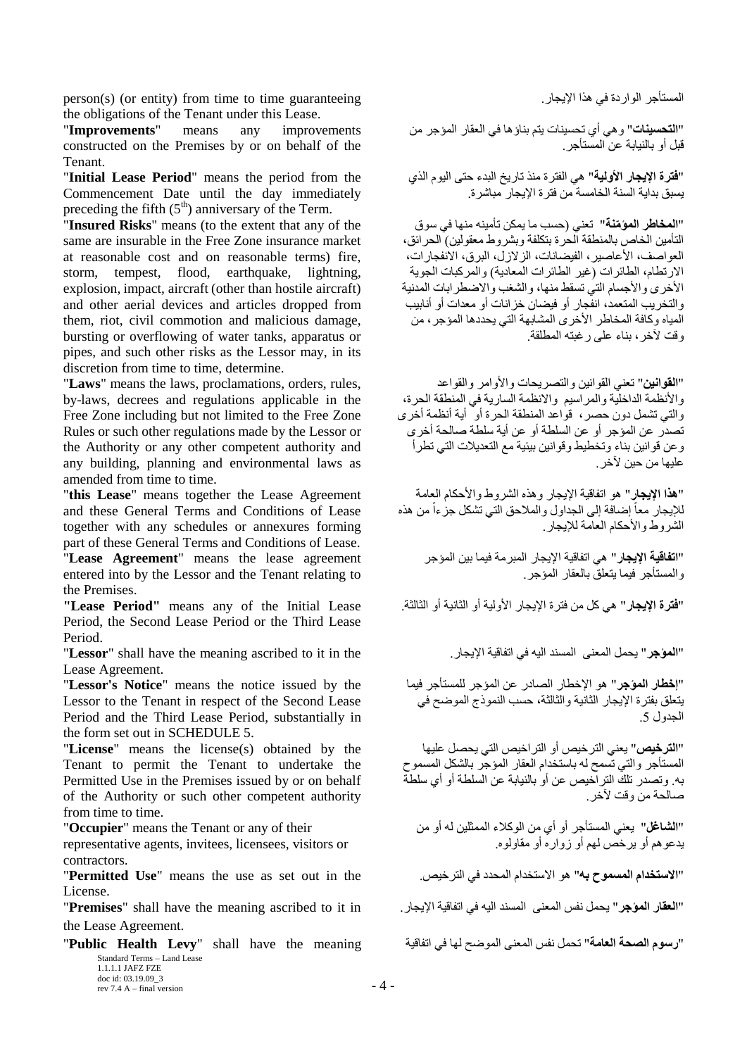person(s) (or entity) from time to time guaranteeing ... المستأجر الواردة في هذا الإيجاز the obligations of the Tenant under this Lease.

"**Improvements**" means any improvements constructed on the Premises by or on behalf of the Tenant.

"**Initial Lease Period**" means the period from the Commencement Date until the day immediately preceding the fifth  $(5<sup>th</sup>)$  anniversary of the Term.

"**Insured Risks**" means (to the extent that any of the same are insurable in the Free Zone insurance market at reasonable cost and on reasonable terms) fire, storm, tempest, flood, earthquake, lightning, explosion, impact, aircraft (other than hostile aircraft) and other aerial devices and articles dropped from them, riot, civil commotion and malicious damage, bursting or overflowing of water tanks, apparatus or pipes, and such other risks as the Lessor may, in its discretion from time to time, determine.

"**Laws**" means the laws, proclamations, orders, rules, by-laws, decrees and regulations applicable in the Free Zone including but not limited to the Free Zone Rules or such other regulations made by the Lessor or the Authority or any other competent authority and any building, planning and environmental laws as amended from time to time.

"**this Lease**" means together the Lease Agreement and these General Terms and Conditions of Lease together with any schedules or annexures forming part of these General Terms and Conditions of Lease. "**Lease Agreement**" means the lease agreement entered into by the Lessor and the Tenant relating to the Premises.

"فقرة الإليجار" هي كل من فترة الإيجار الأولية أو الثالثة. " Lease Period" means any of the Initial Lease" Period, the Second Lease Period or the Third Lease Period.

"**المؤجر**" يحمل المعنى المسند اليه في اتفاقية الإيجار . "Lessor" shall have the meaning ascribed to it in the Lease Agreement.

"**Lessor's Notice**" means the notice issued by the Lessor to the Tenant in respect of the Second Lease Period and the Third Lease Period, substantially in the form set out in SCHEDULE 5.

"**License**" means the license(s) obtained by the Tenant to permit the Tenant to undertake the Permitted Use in the Premises issued by or on behalf of the Authority or such other competent authority from time to time.

"**Occupier**" means the Tenant or any of their

representative agents, invitees, licensees, visitors or contractors.

"**االستخذاو انًسًىح به**" ٞٛ االٍزقلاّ أُؾلك ك٢ اُزوف.ٔ٤ the in out set as use the means" **Use Permitted**" License.

"**انؼماس انًؤجش**" ٣ؾَٔ ٗلٌ أُؼ٠٘ اَُ٘ٔل اٚ٤ُ ك٢ ارلبه٤خ اإل٣غبه. in it to ascribed meaning the have shall" **Premises**" the Lease Agreement.

Standard Terms – Land Lease 1.1.1.1 JAFZ FZE doc id: 03.19.09\_3 rev 7.4 A – final version  $-4$  – "**سسىو انظحت انؼايت**" رؾَٔ ٗلٌ أُؼ٠٘ اُٙٞٔؼ ُٜب ك٢ ارلبه٤خ meaning the have shall" **Levy Health Public**"

"ا**لتحسينـات**" و هي أي تحسينات يتم بنـاؤ هـا في العقار المؤجر من قَبْلُ أَو بِالْنَيَابَةِ عَنِ الْمَسْتَأْجِرِ ِ

"**فترة الإيجار الأولية**" هي الفترة منذ تاريخ البدء حتى اليوم الذي يسبق بداية السنة الخامسة من فتر ة الإيجار ۖ مباشر ة.

"**المخاطر المؤمّنة"** تعني (حسب ما يمكن تأمينه منها في سو ق التأمين الخاص بالمنطقة الحرة بتكلفة وبشروط معقولين) الحرائق، العواصف، الأعاصير، الفيضانات، الزلازل، البرق، الانفجارات، الار تطام، الطائر ات (غبر الطائر ات المعادية) و المركبات الجوبة الأخرى والأجسام التي تسقط منها، والشغب والاضطرابات المدنية والتخريب المتعمد، انفجار أو فيضان خزانات أو معدات أو أنابيب الْمياه وكافة المخاطر الأخرى المشابهة التي يحددها المؤجر، من وقت لأخرٍ، بناء على رغبته المطلقة

"ا**لقوانين"** تعني القوانين والتصريحات والأوامر والقواعد والأنظمة الداخلية والمراسيم والانظمة السارية في المنطقة الحرة، والتي تشمل دون حصر ، قواعد المنطقة الحرة أو ۖ أية أنظمة أخر ي تصدَّر عن المؤجر أو عن السلطة أو عن أية سلطة صالحة أخرى وعن قوانين بناء وتخطيط وقوانين بيئية مع التعديلات التي تطرأ عليها من حبن لآخر

"هذا الإيجار" هو اتفاقية الإيجار وهذه الشروط والأحكام العامة ً للإيجار معاً إضـافة إلـى الـجداول والملاحق التي تشكل جزءاً من هذه الشروط والأحكام العامة للإيجار

"ا**تفاقية الإيجار** " هي اتفاقية الإيجار المبرمة فيما بين المؤجر و المستأجِر فَيُما بِتَعلِقَ بِالْعقَارِ الْمُؤْجِرِ

"إ**خطار المؤجر**" هو الإخطار الصادر عن المؤجر للمستأجر فيما يتعلَّق بفترة الإيجار الثانية والثالثة، حسب النموذج الموضح في الجدول 5.

"ا**لترخيص**" يعني الترخيص أو التر اخيص التي يحصل عليها الْمستَأْجِر ۚ والّتي تُسمح له باستخدام العقار المؤجر بالشكل المسموح به. وتصدر تلك التراخيص عن أو بالنيابة عن السلطة أو أي سلطة صالحة من وقت لأخر

"**الشاغل"** يعني المستأجر أو أي من الوكلاء الممثلين له أو من <sub>.</sub><br>بدعو هم أو ير خص لهم أو زواره أو مقاولوه.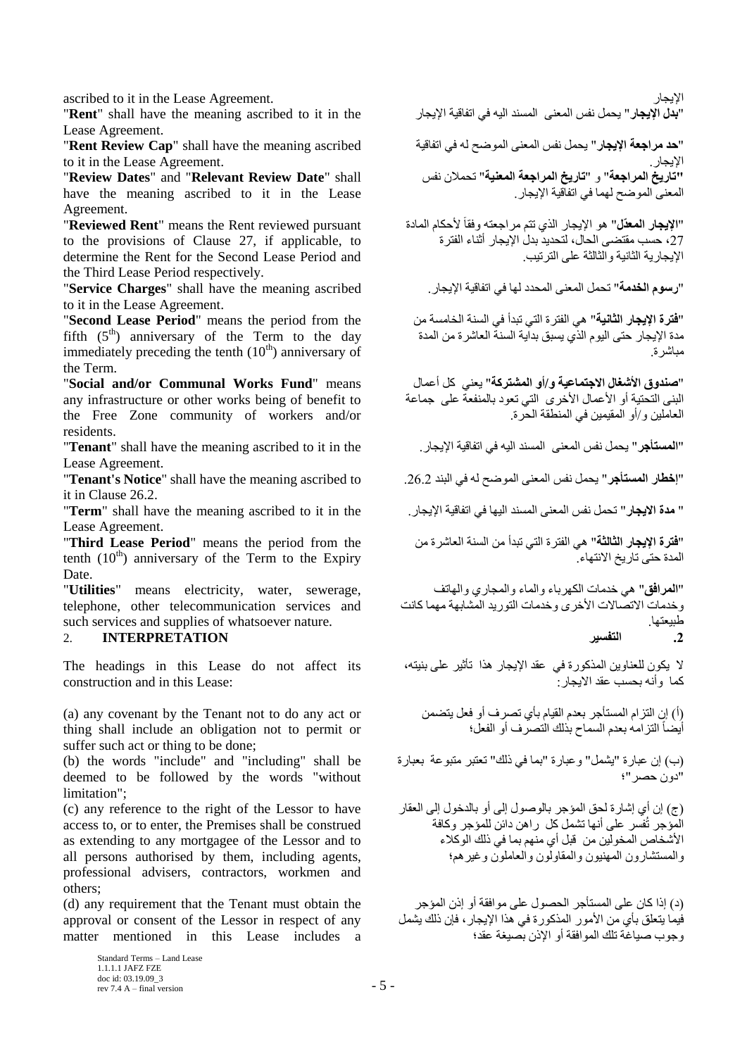"**بذل اإليجاس**" ٣ؾَٔ ٗلٌ أُؼ٠٘ اَُ٘ٔل اٚ٤ُ ك٢ ارلبه٤خ اإل٣غبه the in it to ascribed meaning the have shall" **Rent**" Lease Agreement.

"**Rent Review Cap**" shall have the meaning ascribed to it in the Lease Agreement.

"**Review Dates**" and "**Relevant Review Date**" shall have the meaning ascribed to it in the Lease Agreement.

"**Reviewed Rent**" means the Rent reviewed pursuant to the provisions of Clause [27,](#page-16-0) if applicable, to determine the Rent for the Second Lease Period and the Third Lease Period respectively.

"**سسىو انخذيت**" رؾَٔ أُؼ٠٘ أُؾلك ُٜب ك٢ ارلبه٤خ اإل٣غبه. ascribed meaning the have shall" **Charges Service**" to it in the Lease Agreement.

"**Second Lease Period**" means the period from the fifth  $(5<sup>th</sup>)$  anniversary of the Term to the day immediately preceding the tenth  $(10<sup>th</sup>)$  anniversary of the Term.

"**Social and/or Communal Works Fund**" means any infrastructure or other works being of benefit to the Free Zone community of workers and/or residents.

Lease Agreement.

it in Clause 26.2.

" **يذة االيجاس**" رؾَٔ ٗلٌ أُؼ٠٘ اَُ٘ٔل اٜ٤ُب ك٢ ارلبه٤خ اإل٣غبه. the in it to ascribed meaning the have shall" **Term**" Lease Agreement.

"**Third Lease Period**" means the period from the tenth  $(10<sup>th</sup>)$  anniversary of the Term to the Expiry Date.

"**Utilities**" means electricity, water, sewerage, telephone, other telecommunication services and such services and supplies of whatsoever nature.

# **.2 انتفسيش INTERPRETATION** 2.

The headings in this Lease do not affect its construction and in this Lease:

(a) any covenant by the Tenant not to do any act or thing shall include an obligation not to permit or suffer such act or thing to be done;

(b) the words "include" and "including" shall be deemed to be followed by the words "without limitation";

(c) any reference to the right of the Lessor to have access to, or to enter, the Premises shall be construed as extending to any mortgagee of the Lessor and to all persons authorised by them, including agents, professional advisers, contractors, workmen and others;

(d) any requirement that the Tenant must obtain the approval or consent of the Lessor in respect of any matter mentioned in this Lease includes a

ascribed to it in the Lease Agreement. ألإيجار المستخدمة المستخدمة المستخدمة المستخدمة المستخدمة المستخدمة الم

"**حد مراجعة الإيجار**" يحمل نفس المعنى الموضح له في اتفاقية الإبجار .<br>**"تَارِيخ المراجعة"** و "**تاريخ المراجعة المعنية"** تحملان نفس المعنى الموضح لهما في اتفاّقية الإيجار

"**الإيجار المعذّل"** هو الإيجار الذي تتم مراجعته وفقاً لأحكام المادة 27، حسب مقتضى الحال، لتحديد بدل الإيجار أثناء الفترة الإبجار بـة الثانبـة و الثالثـة علـى التر تبب

"**فتر ة الإيجار الثانية**" هي الفتر ة التي تبدأ في السنة الخامسة من مدة الإيجار حتى اليوم الذّي يسبق بدآية السنة العاشرة من المدة مباشر ة

"**صندوق الأشغال الاجتماعية و/أو المشتركة**" يعني كل أعمال البني التحتية أو الأعمال الأخرى التي تعود بالمنفعة على جماعة الْعاملين و/أو الْمقيمين في المنطقة الحر ة

"**انًستأجش**" ٣ؾَٔ ٗلٌ أُؼ٠٘ اَُ٘ٔل اٚ٤ُ ك٢ ارلبه٤خ اإل٣غبه. the in it to ascribed meaning the have shall" **Tenant**"

"**إخطاس انًستأجش**" ٣ؾَٔ ٗلٌ أُؼ٠٘ اُٙٞٔؼ ُٚ ك٢ اُج٘ل .26.2 to ascribed meaning the have shall" **Notice s'Tenant**"

"**فترة الإيجار الثالثة"** هي الفترة التي تبدأ من السنة العاشرة من المدة حتى تاريخ الانتهاء.

"ا**لمرافق**" هي خدمات الكهرباء والماء والمجاري والهاتف و خدمات الاتصالات الأخر ي و خدمات التور يد المشابهة مهما كانت طبيعتها.

لا يكون للعناوين المذكورة في عقد الإيجار هذا تأثير على بنيته، كماً وأنّه بحسبٌ عقد الأيجار :

(أ) إن النّزام المستأجر بعدم القيام بأي تصرف أو فعل يتضمن أيضاً التزامه بعدم السماح بذلك التصرف أو الفعل؛

(ب) إن عبارة "يشمل" وعبارة "بما في ذلك" تعتبر متبوعة بعبارة "دون حصر "؛

(ج) إن أي إشار ة لحق المؤجر بالوصول إلى أو بالدخول إلى العقار الْمَوْجِرِ تُفْسِر على أنها تشمل كل ۖ راهن دائن للمؤجر وكافة الأشخاص المخولين من ۖ قبل أي منهم بما في ذلك الوكلاء والمستشارون المهنيون والمقاولون والعاملون وغيرهم؛

(د) إذا كان على المستأجر الحصول على مو افقة أو إذن المؤجر فَيِما بِتعلق بأي من الأمور المذكور ة في هذا الإيجار ، فإن ذلك بِشَمل وجوب صَبِاغَة تلَك الموافقة أو الإِذن بصيغة عَقد؛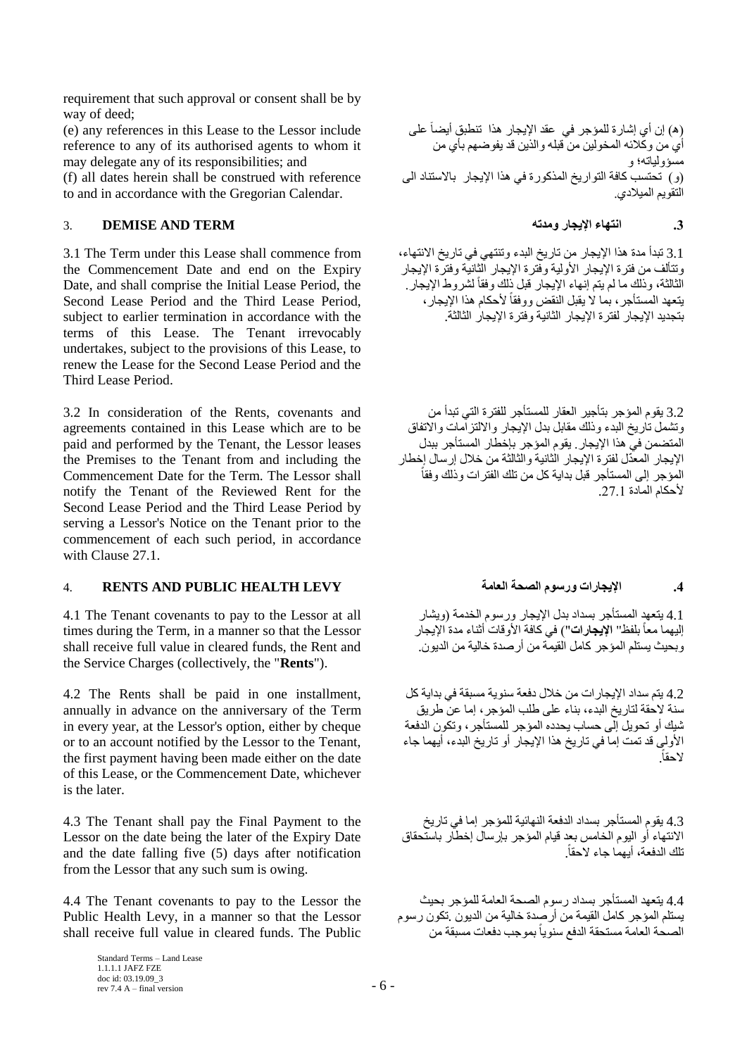requirement that such approval or consent shall be by way of deed;

(e) any references in this Lease to the Lessor include reference to any of its authorised agents to whom it may delegate any of its responsibilities; and

(f) all dates herein shall be construed with reference to and in accordance with the Gregorian Calendar.

## **.3 اَتهاء اإليجاس ويذته TERM AND DEMISE** 3.

3.1 The Term under this Lease shall commence from the Commencement Date and end on the Expiry Date, and shall comprise the Initial Lease Period, the Second Lease Period and the Third Lease Period, subject to earlier termination in accordance with the terms of this Lease. The Tenant irrevocably undertakes, subject to the provisions of this Lease, to renew the Lease for the Second Lease Period and the Third Lease Period.

3.2 In consideration of the Rents, covenants and agreements contained in this Lease which are to be paid and performed by the Tenant, the Lessor leases the Premises to the Tenant from and including the Commencement Date for the Term. The Lessor shall notify the Tenant of the Reviewed Rent for the Second Lease Period and the Third Lease Period by serving a Lessor's Notice on the Tenant prior to the commencement of each such period, in accordance with Clause 27.1.

# <span id="page-5-0"></span>4. **RENTS AND PUBLIC HEALTH LEVY انؼايت انظحت وسسىو اإليجاساث .4**

4.1 The Tenant covenants to pay to the Lessor at all times during the Term, in a manner so that the Lessor shall receive full value in cleared funds, the Rent and the Service Charges (collectively, the "**Rents**").

4.2 The Rents shall be paid in one installment, annually in advance on the anniversary of the Term in every year, at the Lessor's option, either by cheque or to an account notified by the Lessor to the Tenant, the first payment having been made either on the date of this Lease, or the Commencement Date, whichever is the later.

4.3 The Tenant shall pay the Final Payment to the Lessor on the date being the later of the Expiry Date and the date falling five (5) days after notification from the Lessor that any such sum is owing.

4.4 The Tenant covenants to pay to the Lessor the Public Health Levy, in a manner so that the Lessor shall receive full value in cleared funds. The Public

(ه) إن أي إشارة للمؤجر في عقد الإيجار هذا تنطبق أيضاً على أي من وكلائه المخولين من قبله والذين قد يفوضهم بأي من مسؤولياته؛ و (و ) تحتسب كافة التواريخ المذكورة في هذا الإيجار بالاستناد الى التقويم الميلادي.

3.1 تبدأ مدة هذا الإيجار من تاريخ البدء وتنتهي في تاريخ الانتهاء، وتتألف من فتر ة الإيجار الأولية وفّتر ة الإيجار الّثانيّة وفتر ّة الإيجار الثّالثة، و ذلك ما لم يتم انهاء الإيجار ٍ قبل ذلك و فقاً لشر و ط الإيجار يتعهد المستأجر ، بما لا يقبل النقض ووفقاً لأحكام هذا الإيجار ، بتجديد الإيجار لفتر ة الإيجار الثانية وفتر ة الإيجار الثالثة.

3.2 يقوم المؤجر بتأجير العقار للمستأجر للفترة التي تبدأ من وتَشْمل تَارِيخ البدء وذلك مقابل بدل الإيجار والالتزآمات والاتفاق المتضمن في هذا الإيجار . يقوم المؤجر بإخطار المستأجر ببدل الإيجار المعدّل لفترة الإيجار الثانية والثالثة من خلال إرسال إخطار المؤجر إلى المستأجر قبل بداية كل من تلك الفترات وذلك وفقاً لأحكام المادة 27.1.

4.1 يتعهد المستأجر بسداد بدل الإيجار ورسوم الخدمة (ويشار إليهما معاً بلفظ'' ا**لإيجارات'')** في كافة الأوقات أثناء مدة الإيجار وبِحيث يستلم المؤجرِ كامل القيمة من أرصدة خالية من الديون.

4.2 يتْم سداد الإيجار ات من خلال دفعة سنو ية مسبقة في بداية كل سنة لاحقة لتاريخ البدء، بناء على طلب المؤجر ، إما عن طريق شَيكَ أو تحويل إِلَى حساب يحدده المؤجر للمستأجر ، وتكون الدفعة الأولى قد تمت إما في تاريخ هذا الإيجار أو تاريخ البدء، أيهما جاء الؽوبً.

4.3 يقوم المستأجر بسداد الدفعة الذهائية للمؤجر إما في تاريخ الانتهاء أو اليوم الخامس بعد فيام المؤجر بإرسال إخطار باستحقاق تلك الدفعة، أبهما جاء لاحقاً.

4.4 يتعهد المستأجر بسداد رسوم الصحة العامة للمؤجر بحيث يستلم المؤجر كامل القيمة من أرصدة خالية من الديون ¸تكون رسوم بحة العامة مستحقة الدفع سنوياً بموجب دفعات مسبقة من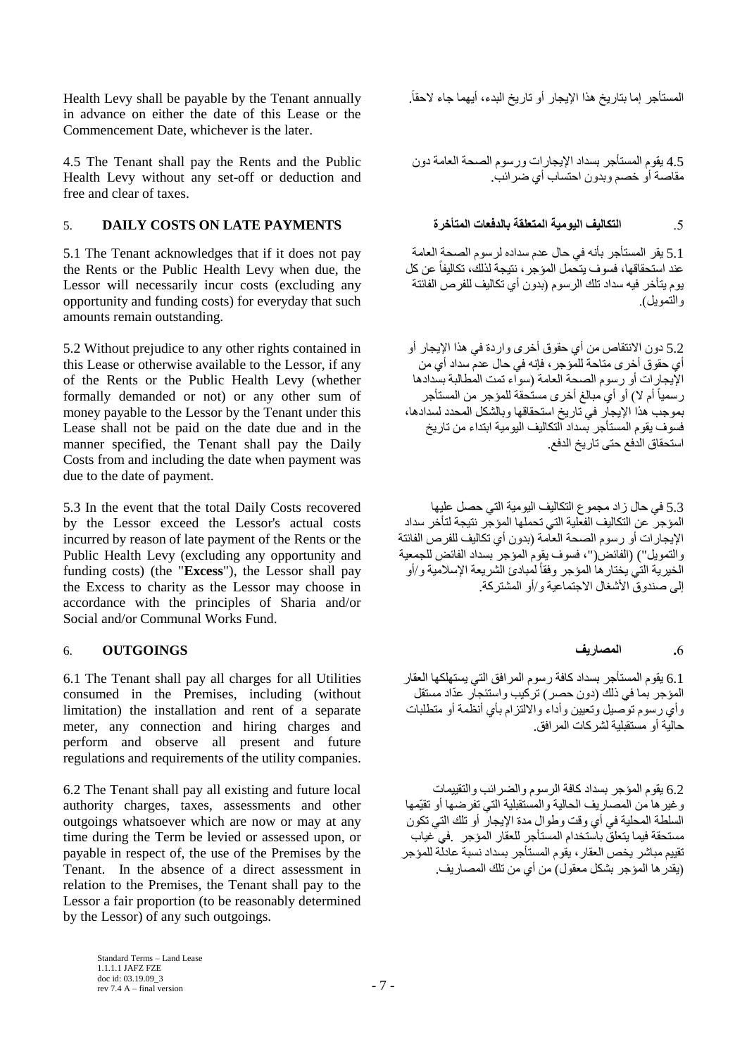المستأجر إما بتاريخ هذا الإيجار أو تاريخ البدء، أيهما جاء لاحقاً. Health Levy shall be payable by the Tenant annually in advance on either the date of this Lease or the Commencement Date, whichever is the later.

4.5 The Tenant shall pay the Rents and the Public Health Levy without any set-off or deduction and free and clear of taxes.

# 5 **انتكانيف اليومية المتعلقة بالدفعات المتأخرة لانتظافة بالدفعات المتأخرة DAILY COSTS ON LATE PAYMENTS**

5.1 The Tenant acknowledges that if it does not pay the Rents or the Public Health Levy when due, the Lessor will necessarily incur costs (excluding any opportunity and funding costs) for everyday that such amounts remain outstanding.

5.2 Without prejudice to any other rights contained in this Lease or otherwise available to the Lessor, if any of the Rents or the Public Health Levy (whether formally demanded or not) or any other sum of money payable to the Lessor by the Tenant under this Lease shall not be paid on the date due and in the manner specified, the Tenant shall pay the Daily Costs from and including the date when payment was due to the date of payment.

5.3 In the event that the total Daily Costs recovered by the Lessor exceed the Lessor's actual costs incurred by reason of late payment of the Rents or the Public Health Levy (excluding any opportunity and funding costs) (the "**Excess**"), the Lessor shall pay the Excess to charity as the Lessor may choose in accordance with the principles of Sharia and/or Social and/or Communal Works Fund.

# **.**6 **انًظاسيف OUTGOINGS** 6.

6.1 The Tenant shall pay all charges for all Utilities consumed in the Premises, including (without limitation) the installation and rent of a separate meter, any connection and hiring charges and perform and observe all present and future regulations and requirements of the utility companies.

6.2 The Tenant shall pay all existing and future local authority charges, taxes, assessments and other outgoings whatsoever which are now or may at any time during the Term be levied or assessed upon, or payable in respect of, the use of the Premises by the Tenant. In the absence of a direct assessment in relation to the Premises, the Tenant shall pay to the Lessor a fair proportion (to be reasonably determined by the Lessor) of any such outgoings.

4.5 يقوم المستأجر بسداد الإيجارات ورسوم الصحة العامة دون مقاصـة أو خصم وبدون احتساب أي ضر ائب.

5.1 يقر المستأجر بأنه في حال عدم سداده لرسوم الصحة العامة عند استحقاقها، فسوف يتحمل المؤجر ، نتيجة لذلك، تكاليفاً عن كل بوم بِتَأْخِرٍ ۖ فِيهِ سِدادٍ تَلْكَ إِلْرٍ سومٍ (بِيدونَ أي تِكاليف لِلْغِرِّ صِ الْغَائِثَة والتمويل)

5.2 دون الانتقاص من أي حقوق أخرى واردة في هذا الإيجار أو أي حقوق أخرى متاحة للمَوْجر ، فإنه في حال عدم سداد أي من الإُيجار ات أو ر سوم الصحة العامة (سواء تمت المطالبة بسدادها رسمياً أم لا) أو أي مبالغ أخرى مستحقة للمؤجر من المستأجر بعو جب هذا الإيجاز. في تار يخ استحقاقها و بالشكل المحدد لسدادها، فسوف يقوم المستأجر بسداد النكاليف اليومية ابتداء من تاريخ استحقاق الدفع حتى تاريخ الدفع.

5.3 في حال زاد مجموع التكاليف اليومية التي حصل عليها المؤجر ۖ عن التكاليف الفعلية التي تحملها المؤجّر نتيجة لتأخر سداد الإيجار ات أو رسوم الصحة العاّمة (بدون أي تكاليف للفرص الفائنة والتمويل") (الفائض("، فسوف يقوم المؤجر بسداد الفائض للجمعية الخيرية التي يختار ها المؤجر وفقاً لمبادئ الشريعة الإسلامية و/أو إلى صندو ق الأشغال الاجتماعية و /أو المشتر كة.

6.1 يقوم المستأجر بسداد كافة رسوم المرافق التي يستهلكها العقار المؤجر بما في ذلك (دون حصر) تركيب واستئجار عدّاد مستقل وأيّ رسوم توصيل وُتعبين وأداء والالتزام بأي أنظّمة أو منطلبات ؽب٤ُخ أٝ َٓزوج٤ِخ ُْوًبد أُواكن.

6.2 يقوم المؤجر بسداد كافة الرسوم والضرائب والتقييمات و غير ها من المصـار بف الحالية و المستقبلية التي تفر ضـها أو تقيّمها السلطة المحلية في أي وقت وطوال مدة الإيجار أو تلك التي تكون مستحقة فيما يتعلق باستخدام المستأجر للعقار المؤجر في عياب تقييم مباشر. يخص العقار ، يقوم المستأجر. بسداد نسبة عادلّة للمؤجر (يقدر ها المؤجر بشكل معقول) من أي من تلك المصاريف.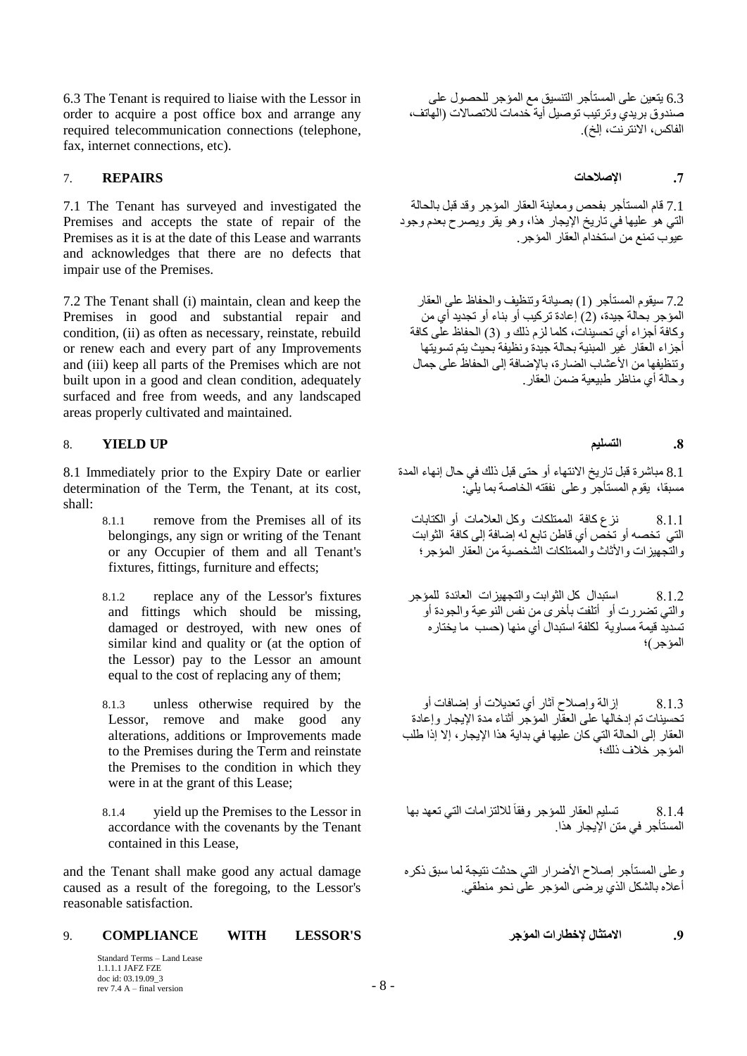6.3 The Tenant is required to liaise with the Lessor in order to acquire a post office box and arrange any required telecommunication connections (telephone, fax, internet connections, etc).

## **.7 اإلطالحاث REPAIRS** 7.

7.1 The Tenant has surveyed and investigated the Premises and accepts the state of repair of the Premises as it is at the date of this Lease and warrants and acknowledges that there are no defects that impair use of the Premises.

7.2 The Tenant shall (i) maintain, clean and keep the Premises in good and substantial repair and condition, (ii) as often as necessary, reinstate, rebuild or renew each and every part of any Improvements and (iii) keep all parts of the Premises which are not built upon in a good and clean condition, adequately surfaced and free from weeds, and any landscaped areas properly cultivated and maintained.

## <span id="page-7-0"></span>8. **YIELD UP انتسهيى .8**

8.1 Immediately prior to the Expiry Date or earlier determination of the Term, the Tenant, at its cost, shall:

- 8.1.1 remove from the Premises all of its belongings, any sign or writing of the Tenant or any Occupier of them and all Tenant's fixtures, fittings, furniture and effects;
- 8.1.2 replace any of the Lessor's fixtures and fittings which should be missing, damaged or destroyed, with new ones of similar kind and quality or (at the option of the Lessor) pay to the Lessor an amount equal to the cost of replacing any of them;
- 8.1.3 unless otherwise required by the Lessor, remove and make good any alterations, additions or Improvements made to the Premises during the Term and reinstate the Premises to the condition in which they were in at the grant of this Lease;
- 8.1.4 yield up the Premises to the Lessor in accordance with the covenants by the Tenant contained in this Lease,

and the Tenant shall make good any actual damage caused as a result of the foregoing, to the Lessor's reasonable satisfaction.

## **.9 االيتثال إلخطاساث انًؤجش S'LESSOR WITH COMPLIANCE** 9.

Standard Terms – Land Lease 1.1.1.1 JAFZ FZE doc id: 03.19.09 3 rev 7.4 A – final version  $-8$  –

6.3 يتعين على المستأجر التنسيق مع المؤجر للحصول على صندوق بريدي وترتيب توصيل أية خدمات للاتصالات (الهاتف، الفاكس، الانترنت، إلخ).

7.1 قام المستأجر بفحص ومعاينة العقار المؤجر وقد قبل بالحالة التي هو عليها في تاريخ الإيجار هذا، وهو يقر ويصرح بعدم وجود عيوب تمنع من استخداّم العقار المؤجر.

7.2 سيقوم المستأجر (1) بصيانة وتنظيف والحفاظ على العقار المؤجر بحالة جيدة، (2) (عادة تركيب أو بناء أو تجديد أي من وكافة أجز اء أي تحسيَنات، كلما لزم ذلك و (3) الحفاظ على كافة أجزاء العقار غير المبنية بحالة جيدة ونظيفة بحيث يتم تسويتها وتنظيفها من الأعشاب الضارة، بالإضافة إلى الحفاظ على جمال وجالة أي مناظر طبيعية ضمن العقار

8.1 مباشرة قبل تاريخ الانتهاء أو حتى قبل ذلك في حال إنهاء المدة مسبقا، يقوِّم المستأجِّر وعلى نفقته الخَّاصنة بما يليِّ:

8.1.1 نزع كافة الممتلكات وكل العلامات أو الكتابات ------<br>الّتي تخصـه أو تخص أي قاطن تابع له إصافة إلى كافة ۖ الثوابت والنَّجهيز ات و الأثاث و المُمتلكات الشَّخصية من العقار المؤجر ؛

8.1.2 استبدال كل الثوابت و التجهيز ات العائدة للمؤجر والتي تضررت أو أتلفت بأخرى من نفس النوعية والجودة أو تسديد قيمة مساوية لكلفة استبدال أي منها (حسب ما يختار ه أَلْمؤجر)؛

8.1.3 ٪ إِزْ اللَّهَ وَ إِصْلاحِ أَثَارٍ أَي تَعْدِيلات أو إضبافات أو تحسينات تم إدخالها على العقّار المؤجّر أثناء مدة الإيجار وإعادة الْعقار إلى الحالة التي كان عليها في بداية هذا الإيجار ، إلا إذا طلب المؤجر خلاف ذلك؛

8.1.4 تسليم العقار للمؤجر وفقاً للالتزرامات التي تعهد بها ً المستأجر في متن الأبجار هذا

وعلى المستأجر إصلاح الأضرار التي حدثت نتيجة لما سبق ذكره أعلاه بالشكل الّذي ير ضبي المؤجر ً على نحو منطقي.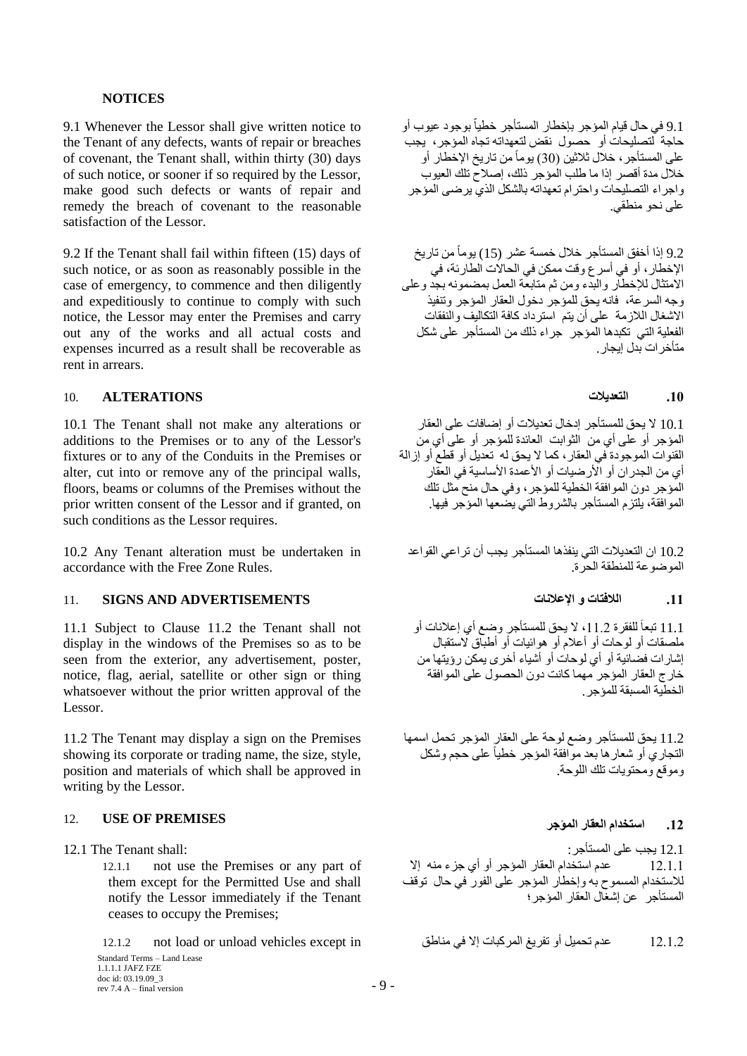## **NOTICES**

9.1 Whenever the Lessor shall give written notice to the Tenant of any defects, wants of repair or breaches of covenant, the Tenant shall, within thirty (30) days of such notice, or sooner if so required by the Lessor, make good such defects or wants of repair and remedy the breach of covenant to the reasonable satisfaction of the Lessor.

9.2 If the Tenant shall fail within fifteen (15) days of such notice, or as soon as reasonably possible in the case of emergency, to commence and then diligently and expeditiously to continue to comply with such notice, the Lessor may enter the Premises and carry out any of the works and all actual costs and expenses incurred as a result shall be recoverable as rent in arrears.

## **.10 انتؼذيالث ALTERATIONS** 10.

10.1 The Tenant shall not make any alterations or additions to the Premises or to any of the Lessor's fixtures or to any of the Conduits in the Premises or alter, cut into or remove any of the principal walls, floors, beams or columns of the Premises without the prior written consent of the Lessor and if granted, on such conditions as the Lessor requires.

10.2 Any Tenant alteration must be undertaken in accordance with the Free Zone Rules.

# **.11 انالفتاث و اإلػالَاث ADVERTISEMENTS AND SIGNS** 11.

11.1 Subject to Clause 11.2 the Tenant shall not display in the windows of the Premises so as to be seen from the exterior, any advertisement, poster, notice, flag, aerial, satellite or other sign or thing whatsoever without the prior written approval of the Lessor.

11.2 The Tenant may display a sign on the Premises showing its corporate or trading name, the size, style, position and materials of which shall be approved in writing by the Lessor.

## 12. **USE OF PREMISES**

12.1.1 not use the Premises or any part of them except for the Permitted Use and shall notify the Lessor immediately if the Tenant ceases to occupy the Premises;

Standard Terms – Land Lease

1.1.1.1 JAFZ FZE doc id: 03.19.09\_3 rev 7.4 A – final version  $-9 -$ 

9.1 في حال قيام المؤجر بإخطار المستأجر خطيا بوجود عيوب أو حاجة للصليحات أو حصول نقض لتعهداته تجاه المؤجر، يجب على المستأجر ، خلال ثلاثين (30) يوماً من تاريخ الإخطار أو خلال مدة أقصر إذا ما طلب الُمؤجر ذلك، إصلاح تلك العيوب واجراء التصليحات واحترام تعهداته بالشكل الذي يرضىي المؤجر على نحو منطقى.

9.2 إذا أخفق المستأجر خلال خمسة عشر (15) يوماً من تاريخ الإخطار، أو في أسرع وقت ممكن في الحالات الطّارئة، في الاُمتثالِ للإخطارِ والَّذِءَ ومن ثم مُتابعة العمل بمضمونه بجد وعلى وجه السرعة، فانه يحق للمؤجر دخول العقار المؤجر وتنفيذ الاَشغال اللازمة على أن يتمّ استرداد كافة التكاليف والنفقات الفعلية التي تكبدها المؤجر جراء ذلك من المستأجر على شكل متأخر ات بدل إيجار [

10.1 لا يحق للمستأجر إدخال تعديلات أو إضـافات على العقار المؤجر أو على أي من الثوابت العائدة للمؤجر أو على أي من القنوات الْموجودة في العقار ، كما لا يحق له تعديل أو قطع أو إزالة أ١ ٖٓ اُغلهإ أٝ األه٤ٙبد أٝ األػٔلح األٍب٤ٍخ ك٢ اُؼوبه الْمَوْجِرِ دونِ الْمَوافَقة الْخطية للمؤجرِ ، وفي حال منح مثل تلك الْمو افقة، بِلنّز م المستأجر ۖ بِالشّر وط الّتي بضعها المؤجر ۖ فبها ٍ

10.2 ان التعديلات التي ينفذها المستأجر يجب أن تر اعي القواعد الموضوعة للمنطقة الحرة.

11.1 تبعاً للفقرة 11.2، لا يحق للمستأجر وضع أي إعلانات أو ملصقات أو لوحات أو أعلام أو هوائيات أو أطباق لاستقبال اشار ات فضائية أو أي لوحات أو أشياء أخرى يمكن رؤيتها من خارج العقار المؤجر مهما كانت دون الحصول على الموافقة الْخطية المسبقة للمؤجر

11.2 يحق للمستأجر وضع لوحة على العقار المؤجر تحمل اسمها النجاري أو شعار ها بعد موّافقة المؤجر خطياً على حجم وشكل و مو قع و محتو يات تلك اللو حة.

12. استخدام العقار المو*ّ*جر

12.1 ٣غت ػ٠ِ أَُزأعو: :shall Tenant The 12.1 12.1.1 ػلّ اٍزقلاّ اُؼوبه أُإعو أٝ أ١ عيء ٚ٘ٓ ئال للاستخدام المسموح به وإخطار المؤجر على الفور في حال توقف الْمستأجر ً عن إشغال العقار المؤجر؛

12.1.2 ػلّ رؾَ٤ٔ أٝ رلو٣ؾ أُوًجبد ئال ك٢ ٘ٓبٛن in except vehicles unload or load not 12.1.2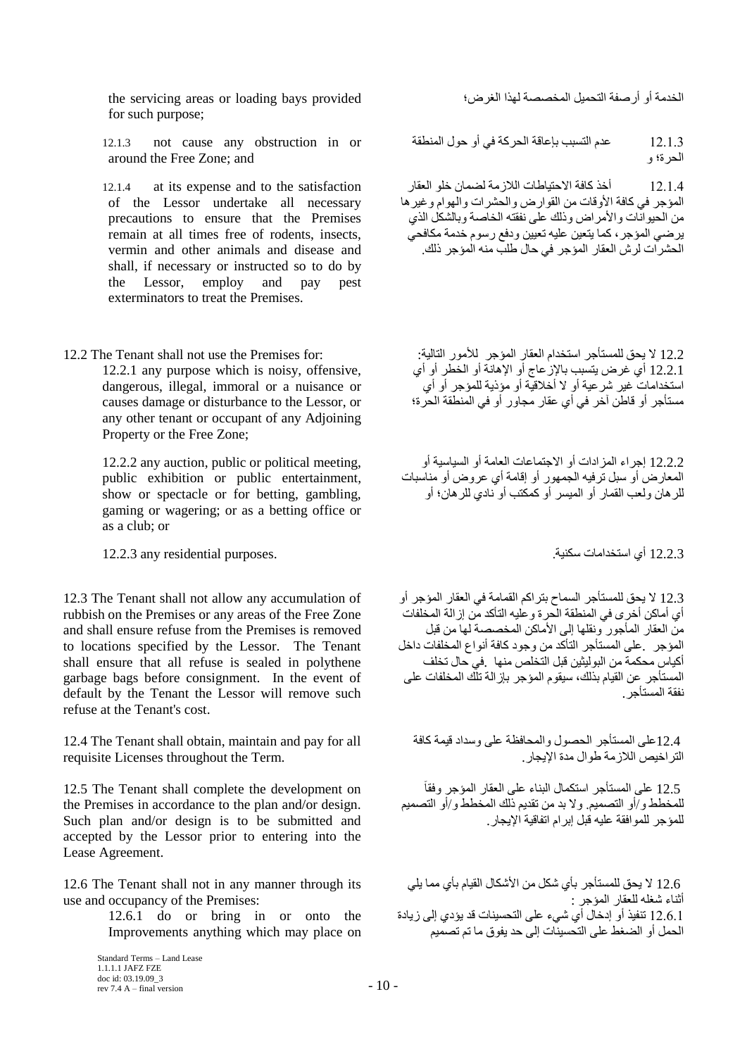اُقلٓخ أٝ أهٕلخ اُزؾَ٤ٔ أُقٖٖخ ُٜنا اُـوٗ؛ provided bays loading or areas servicing the for such purpose;

12.1.3 not cause any obstruction in or around the Free Zone; and

12.1.4 at its expense and to the satisfaction of the Lessor undertake all necessary precautions to ensure that the Premises remain at all times free of rodents, insects, vermin and other animals and disease and shall, if necessary or instructed so to do by the Lessor, employ and pay pest exterminators to treat the Premises.

12.2.1 any purpose which is noisy, offensive, dangerous, illegal, immoral or a nuisance or causes damage or disturbance to the Lessor, or any other tenant or occupant of any Adjoining Property or the Free Zone;

12.2.2 any auction, public or political meeting, public exhibition or public entertainment, show or spectacle or for betting, gambling, gaming or wagering; or as a betting office or as a club; or

12.2.3 أ١ اٍزقلآبد ٤ٌٍ٘خ. .purposes residential any 12.2.3

12.3 The Tenant shall not allow any accumulation of rubbish on the Premises or any areas of the Free Zone and shall ensure refuse from the Premises is removed to locations specified by the Lessor. The Tenant shall ensure that all refuse is sealed in polythene garbage bags before consignment. In the event of default by the Tenant the Lessor will remove such refuse at the Tenant's cost.

12.4 The Tenant shall obtain, maintain and pay for all requisite Licenses throughout the Term.

12.5 The Tenant shall complete the development on the Premises in accordance to the plan and/or design. Such plan and/or design is to be submitted and accepted by the Lessor prior to entering into the Lease Agreement.

12.6 The Tenant shall not in any manner through its use and occupancy of the Premises:

12.6.1 do or bring in or onto the Improvements anything which may place on

12.1.3 كلّ عنه النّسبب بإعاقة الحركة في أو حول المنطقة الحرة؛ و

12.1.4 أخذ كافة الاحتياطات اللاز مة لضمان خلو العقار المؤجر في كافة الأوقات من القوارض والحشرات والهوام وغيرها من الحيوانات والأمراض وذلك على نفقته الخاصة وبالشكل الذي ير ضـي المؤجر ، كما يتعين عليه تعيين ودفع رسوم خدمة مكافحي الْحِشْرِ َّات لَر ش الْعقارِ الْمؤجرِ ۖ في حالِ طلب منه الْمؤجرِ ۖ ذَلِك

12.2 ال ٣ؾن َُِٔزأعو اٍزقلاّ اُؼوبه أُإعو ُألٞٓه اُزب٤ُخ: :for Premises the use not shall Tenant The 12.2 12.2.1 أي غرِ ض يتسبب بالإزْ عاج أو الإهانة أو الخطر أو أي استخداماتٌ غير شرعية أو لا أخلاقيّة أو مؤذية للمؤجر أو أي مستأجر أو قاطن آخر في أي عقار مجاور أو في المنطقة الحرة؛

> 12.2.2 إجراء المزادات أو الاجتماعات العامة أو السياسبة أو المعارض أو سبل ترفيه الجمهور أو إقامة أي عروض أو مناسبات للرهان ولعب القمار أو الميسر أو كمكتب أو نادي للرهان؛ أو

12.3 لا يحق للمستأجر السماح بتر اكم القمامة في العقار المؤجر أو سَ أيّ أماكن أخر ي في المنطقة الحر ة و عليه التأكد من إز الّة المخلّفات منَ العقارِ المأجورِ ونقلها إلى الأماكن المخصصة لها من قبل المؤجر . على المستأجر التأكد من وجود كافة أنواع المخلفات داخل أكياس محكمة من البوليثين قبل التخلص منها في حال تخلف الْمستأجر عن القيام بذلك، سيقوم المؤجر بإز الة تلّك المخلفات على نفقة المستأجر .

12.4على المستأجر الحصول والمحافظة على وسداد قيمة كافة التر اخبص اللاز مة طوال مدة الأبجار .

12.5 على المستأجر استكمال البناء على العقار المؤجر وفقأ للمخطط و/أو التصميم ولا بد من تقديم ذلك المخطط و/أو التصميم للمؤجر للمو افقة عليه قبل ابر ام اتفاقية الإبحار

12.6 لا يحق للمستأجر بأي شكل من الأشكال القيام بأي مما يلي أثناء شغله للعقار المؤجر : .<br>12.6.1 نتفيذ أو إدخال أي شيء على التحسينات قد يؤدي إلى زيادة الْـحمل أو الضغط على التَحسينات إلى حد يفوق ما تم تصميم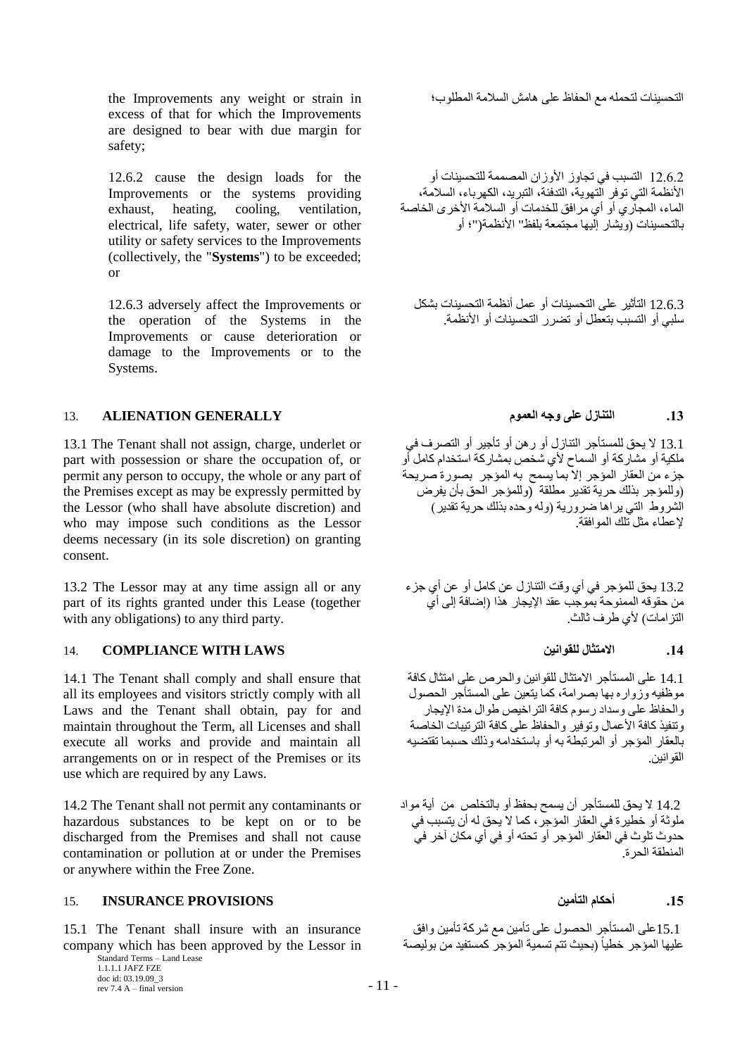اُزؾ٘٤َبد ُزؾِٚٔ ٓغ اُؾلبظ ػ٠ِ ٛبِٓ اَُالٓخ أُطِٞة؛ in strain or weight any Improvements the excess of that for which the Improvements are designed to bear with due margin for safety;

12.6.2 cause the design loads for the Improvements or the systems providing exhaust, heating, cooling, ventilation, electrical, life safety, water, sewer or other utility or safety services to the Improvements (collectively, the "**Systems**") to be exceeded; or

12.6.3 adversely affect the Improvements or the operation of the Systems in the Improvements or cause deterioration or damage to the Improvements or to the Systems.

# **.13 انتُاصل ػهً وجه انؼًىو GENERALLY ALIENATION** 13.

13.1 The Tenant shall not assign, charge, underlet or part with possession or share the occupation of, or permit any person to occupy, the whole or any part of the Premises except as may be expressly permitted by the Lessor (who shall have absolute discretion) and who may impose such conditions as the Lessor deems necessary (in its sole discretion) on granting consent.

13.2 The Lessor may at any time assign all or any part of its rights granted under this Lease (together with any obligations) to any third party.

# **.14 االيتثال نهمىاَيٍ LAWS WITH COMPLIANCE** 14.

14.1 The Tenant shall comply and shall ensure that all its employees and visitors strictly comply with all Laws and the Tenant shall obtain, pay for and maintain throughout the Term, all Licenses and shall execute all works and provide and maintain all arrangements on or in respect of the Premises or its use which are required by any Laws.

14.2 The Tenant shall not permit any contaminants or hazardous substances to be kept on or to be discharged from the Premises and shall not cause contamination or pollution at or under the Premises or anywhere within the Free Zone.

# **.15 أحكاو انتأييٍ PROVISIONS INSURANCE** 15.

15.1 The Tenant shall insure with an insurance company which has been approved by the Lessor in

12.6.2 التسبب في تجاوز الأوزان المصممة للتحسينات أو الأنظمة التي توفر التهوية، التدفئة، التبريد، الكهرباء، السلامة، الماء، المجاري أو أي مرافق للخدمات أو السلامة الأخرى الخاصة بِالتَّحسِينات (و يشار ) إِلَيها مجتمعة بِلفظ" الأنظمة("؛ أو

12.6.3 التأثير على التحسينات أو عمل أنظمة التحسينات بشكل سلبي أو التسبب بتعطل أو تضررر التحسينات أو الأنظمة.

13.1 لا يحق للمستأجر النّنازل أو رهن أو تأجير أو التصرف في ملكية أو مشاركة أو السماح لأي شخص بمشاركة استخدام كامل أو جزء من العقار المؤجر إلاّ بما يُسمح به المؤجر ۖ بصورة صريحة (وللمؤجر بذلك حرية تقدير مطلقة ۖ (وللمؤجر الحق بأن يفرض الشروط التي يراها ضرورية (وله وحده بذلك حرية تقدير) لإعطاء مثل تلك الموافقة.

13.2 يحق للمؤجر في أي وقت النتازل عن كامل أو عن أي جزء من حقوقه الممنوحة بموجب عقد الإيجار هذا (إضافة إلى أي النز امات) لأي طر ف ثالث.

14.1 على المستأجر الامتثال للقوانين والحرص على امتثال كافة موظفيه وز وار ه بها بصر امة، كما يتعين على المستأجر الحصول و الحفاظ على و سداد ر سو م كافة التر اخيص طو ال مدة الإيجار وتنفيذ كافة الأعمال وتوفير والحفاظ على كافة الترتيبات الخاصة بالعقار المؤجر أو المرتبطة به أو باستخدامه وذلك حسبما تقتضيه القو انين.

14.2 لا يحق للمستأجر أن يسمح بحفظ أو بالتخلص من أية مواد ملوثة أو خطيرة في العقار المؤجر، كما لا يحق له أن يتسبب في حدوث تلوث في الْعقار المؤجر أو تحته أو في أي مكان آخر ً في ً الْمنطقة الْحر ة

15.1على المستأجر الحصول على تأمين مع شركة تأمين وافق عليها المؤجر خطياً (بحيث تتم تسمية المؤجر كمستفيد من بوليصة ً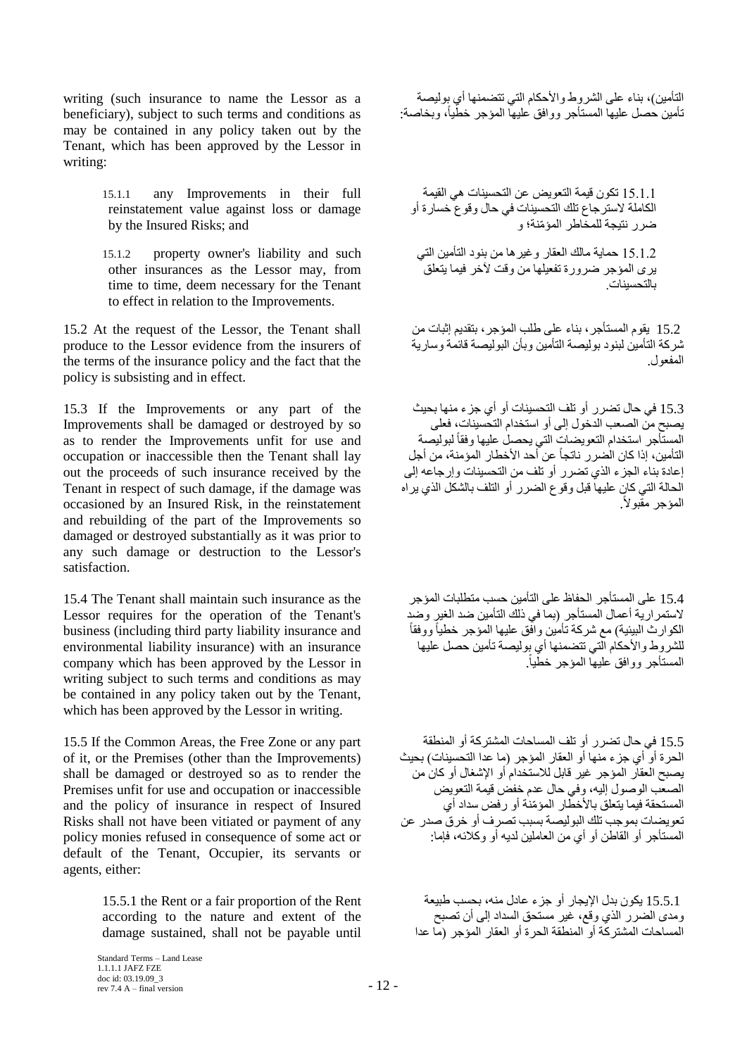writing (such insurance to name the Lessor as a beneficiary), subject to such terms and conditions as may be contained in any policy taken out by the Tenant, which has been approved by the Lessor in writing:

> 15.1.1 any Improvements in their full reinstatement value against loss or damage by the Insured Risks; and

> 15.1.2 property owner's liability and such other insurances as the Lessor may, from time to time, deem necessary for the Tenant to effect in relation to the Improvements.

15.2 At the request of the Lessor, the Tenant shall produce to the Lessor evidence from the insurers of the terms of the insurance policy and the fact that the policy is subsisting and in effect.

15.3 If the Improvements or any part of the Improvements shall be damaged or destroyed by so as to render the Improvements unfit for use and occupation or inaccessible then the Tenant shall lay out the proceeds of such insurance received by the Tenant in respect of such damage, if the damage was occasioned by an Insured Risk, in the reinstatement and rebuilding of the part of the Improvements so damaged or destroyed substantially as it was prior to any such damage or destruction to the Lessor's satisfaction.

15.4 The Tenant shall maintain such insurance as the Lessor requires for the operation of the Tenant's business (including third party liability insurance and environmental liability insurance) with an insurance company which has been approved by the Lessor in writing subject to such terms and conditions as may be contained in any policy taken out by the Tenant, which has been approved by the Lessor in writing.

15.5 If the Common Areas, the Free Zone or any part of it, or the Premises (other than the Improvements) shall be damaged or destroyed so as to render the Premises unfit for use and occupation or inaccessible and the policy of insurance in respect of Insured Risks shall not have been vitiated or payment of any policy monies refused in consequence of some act or default of the Tenant, Occupier, its servants or agents, either:

> 15.5.1 the Rent or a fair proportion of the Rent according to the nature and extent of the damage sustained, shall not be payable until

التأمين)، بناء على الشروط والأحكام التي تتضمنها أي بوليصة تَأمين حصل عليها المستأجر ووافق عليها المؤجر خطّياً، وبخاصة:

15.1.1 نكون قيمة التعويض عن التحسينات هي القيمة الكاملة لاسترجاع تلك التحسينات في حال وقوع خسارة أو ضر ر نتبجة للمخّاطر المؤمّنة؛ و

15.1.2 حماية مالك العقار وغير ها من بنود التأمين التي يري المؤجر ضرورة تفعيلها من وقت لأخر فيما يتعلق بالتحسينات

15.2 يقوم المستأجر ، بناء على طلب المؤجر ، بتقديم إثبات من شركة التأمين لبنود بوليصة التأمين وبأن البوليصة قائمة وسارية المفعول.

15.3 في حال تضرر أو تلف التحسينات أو أي جزء منها بحيث يصبح من الصعب الدخول إلى أو استخدام التحسينات، فعلى المستَأجر استخدام التعويضات التي يحصلُ عليها وفقاً لبوليصة التأمين، إذا كان الْضرر ِ ناتجاً عن أحد الأخطار المؤمنة، من أجل إعادة بناء الجزء الذي تُضرر أو تُلف من التحسينات وإرجاعه إلى الْحالة التي كانّ عليهاً قبل وّقوع الضرر أو التلف بالشكل الذي ير أه المؤجر مقبولاً.

15.4 على المستأجر الحفاظ على التأمين حسب متطلبات المؤجر لاستمر اريّة أعمال الْمستأجر (بما في ذلك التأمين ضد الغير وحد ً الكوارث البيئية) مع شركة تأمين وافق عليها المؤجر خطياً ووفقاً للشروط والأحكام التي تتضمنها أي بوليصة تأمين حصل عليها المستأجر ووافق عليها المؤجر خطّياً.

15.5 في حال تضرر أو تلف المساحات المشتركة أو المنطقة الحرة أو أي جزء منها أو العقار المؤجر (ما عدا التحسينات) بحيث يصبح العقار المؤجر غير قابل للاستخدام أو الإشغال أو كان من الصعّب الوصول إليه، وفي حال عدم خفض قيمة التعويض المستحقة فيما يتعلّق بالأخطّار المؤمّنة أو رفض سداد أي تعويضات بموجب تلك البوليصة بسبب تصرف أو خرقي صدر عن المستأجر أو القاطن أو أي من العاملين لديه أو وكلائه، فإما:

15.5.1 بكون بدل الإيجار أو جزء عادل منه، بحسب طبيعة ومدى الضرر الذي وقع، غير مستحق السداد إلىي أن تصبح الْمساحات الْمَشْتركَة أَو الْمنطَقَة الحرة أو العقار المؤجر (ما عدا

Standard Terms – Land Lease 1.1.1.1 JAFZ FZE doc id: 03.19.09\_3 rev 7.4 A – final version  $-12$  –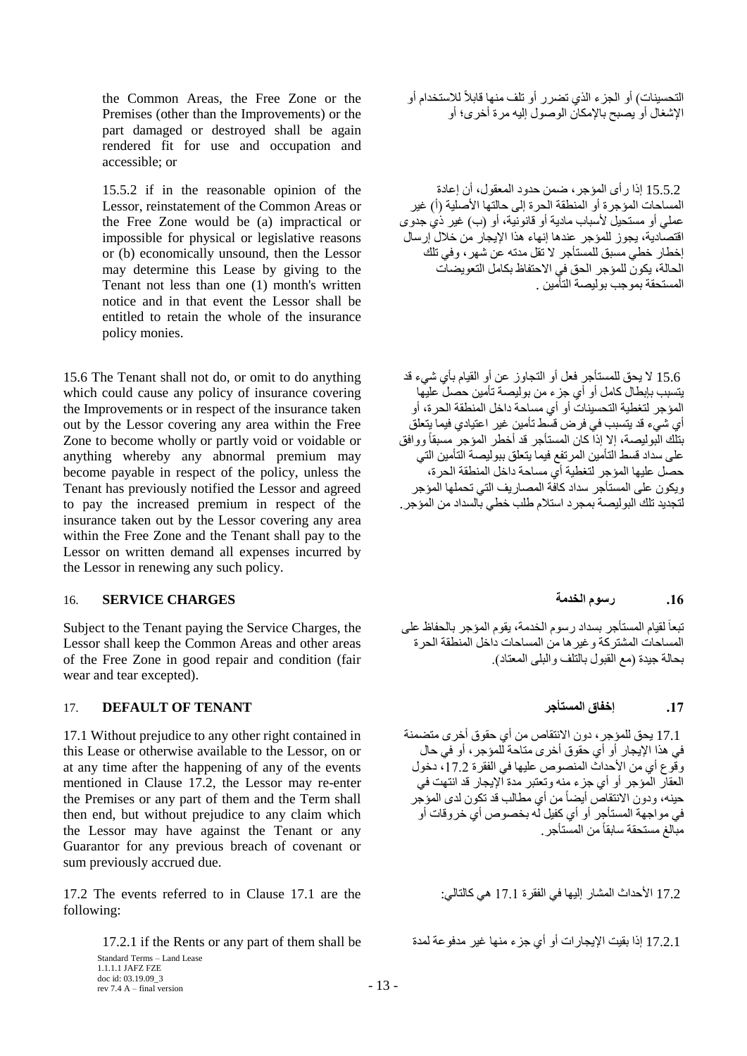the Common Areas, the Free Zone or the Premises (other than the Improvements) or the part damaged or destroyed shall be again rendered fit for use and occupation and accessible; or

15.5.2 if in the reasonable opinion of the Lessor, reinstatement of the Common Areas or the Free Zone would be (a) impractical or impossible for physical or legislative reasons or (b) economically unsound, then the Lessor may determine this Lease by giving to the Tenant not less than one (1) month's written notice and in that event the Lessor shall be entitled to retain the whole of the insurance policy monies.

15.6 The Tenant shall not do, or omit to do anything which could cause any policy of insurance covering the Improvements or in respect of the insurance taken out by the Lessor covering any area within the Free Zone to become wholly or partly void or voidable or anything whereby any abnormal premium may become payable in respect of the policy, unless the Tenant has previously notified the Lessor and agreed to pay the increased premium in respect of the insurance taken out by the Lessor covering any area within the Free Zone and the Tenant shall pay to the Lessor on written demand all expenses incurred by the Lessor in renewing any such policy.

# **.16 سسىو انخذيت CHARGES SERVICE** 16.

Subject to the Tenant paying the Service Charges, the Lessor shall keep the Common Areas and other areas of the Free Zone in good repair and condition (fair wear and tear excepted).

# **.17 إخفاق انًستأجش TENANT OF DEFAULT** 17.

17.1 Without prejudice to any other right contained in this Lease or otherwise available to the Lessor, on or at any time after the happening of any of the events mentioned in Clause 17.2, the Lessor may re-enter the Premises or any part of them and the Term shall then end, but without prejudice to any claim which the Lessor may have against the Tenant or any Guarantor for any previous breach of covenant or sum previously accrued due.

 17.2 األؽلاس أُْبه ئٜ٤ُب ك٢ اُلووح 17.1 ٢ٛ ًبُزب:٢ُ the are 17.1 Clause in to referred events The 17.2 following:

Standard Terms – Land Lease 1.1.1.1 JAFZ FZE doc id: 03.19.09\_3 rev 7.4 A – final version  $-13$  – التحسينات) أو الجزء الذي تضرر أو تلف منها قابلاً للاستخدام أو الإشغال أو يصبح بالإمكان الوصول إليه مر ة أخر ي؛ أه

15.5.2 إذا رٍ أي المؤجرِ ، ضمن حدود المعقول، أن إعادة الْمساحات المؤجرة أو الْمنطقة الحرة إلى حالتها الأصلية (أ) غير عملـى أو مستحيل لأسباب مادية أو قانونية، أو (ب) غير ذي جدوى اقتصادية، يجوز للمؤجر عندها إنهاء هذا الإيجار من خلال إرسال إخطار خطي مسبق للمستأجر لا تقل مدته عن شهر ، وفي تلك الْحالة، يكون للمؤجر الحق في الاحتفاظ بكامل التعويضات ..<br>المستحقة بموجب بو ليصبة التأمين

15.6 لا يحق للمستأجر فعل أو النجاوز عن أو القيام بأي شيء قد يتسبب بابطال كامل أو أي جزءٍ من بوليصة تأمين حصلٌ عليها يسبب بهبت – – ب ب ب ب ب ب ب ب .<br>المؤجر لتغطية التحسينات أو أي مساحة داخل المنطقة الحرة، أو أي شيء قد يتسبب في فرض قسط تأمين غير اعتيادي فيما يتعلق بتلك البوليصـة، إلا إذاً كان المستأجر قد أخطر المؤجر مسبقاً ووافق على سداد قسط التأمين المرتفع فيما يتعلق ببوليصة التأمين التي حصل عليها المؤجر لتغطية أي مساحة داخل المنطقة الحرة، ويكون على المستأجر سداد كافّة المصاريف التي تحملها المؤجر لتجديد تلك اليو ليصبة بمجر د استلام طلب خطي بالسداد من المؤجر .

تبعاً لقيام المستأجر بسداد رسوم الخدمة، يقوم المؤجر بالحفاظ على ً الْمساحات المشتر كة و غير ها من المساحات داخل المنطقة الحر ة بحالة جيدة (مع القبول بالتلف والبلي المعتاد)

17.1 يحق للمؤجر ، دون الانتقاص من أي حقوق أخرى متضمنة في هذا الإيجار أو أي حقوق أخرى متاحة للمؤجر ، أو في حال وقَوع أي من الأحداث المنصوص عليها في الفقرة 17.2، دخول العقاّر المُؤجر أو أي جزء منه وتعتبر مدة الإيجار قد انتهت في حينه، ودون الانتقاص أيضاً من أي مطالب قد تكون لدى المؤجر مية • و-ون العسس عليه على بن الله بخصوص أي خرب على .<br>في مواجهة المستأجر أو أي كفيل له بخصوص أي خروقات أو مبالغ مستحقة سابقاً من المستأجر

17.2.1 ئما ثو٤ذ اإل٣غبهاد أٝ أ١ عيء ٜ٘ٓب ؿ٤و ٓلكٞػخ ُٔلح be shall them of part any or Rents the if 17.2.1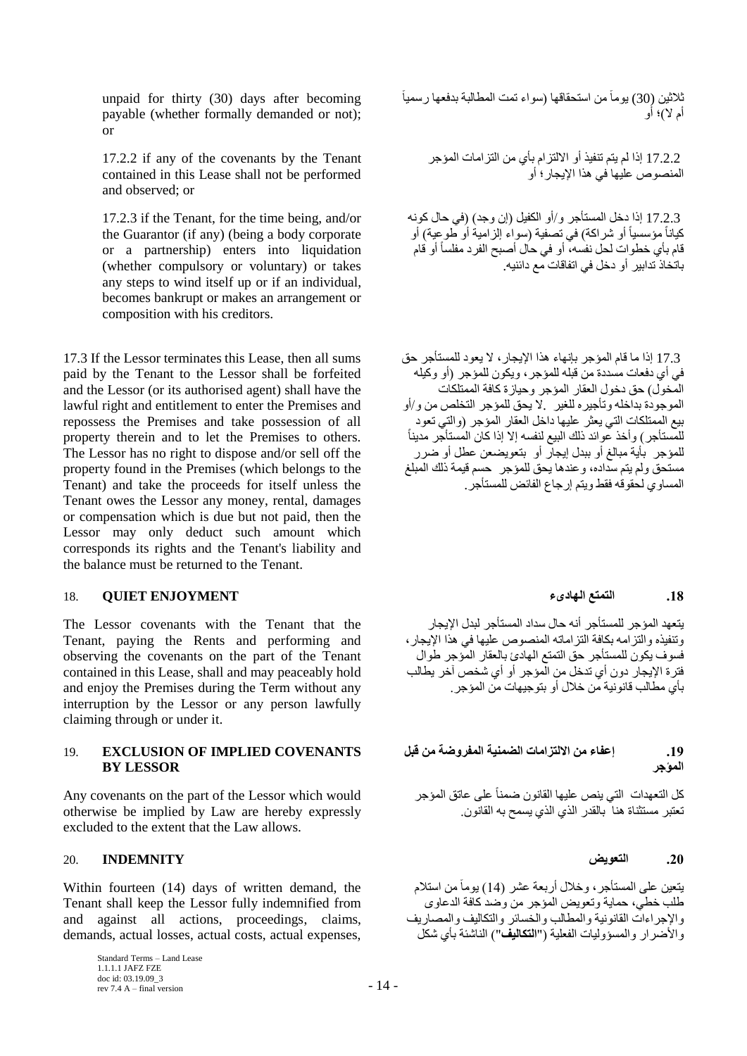unpaid for thirty (30) days after becoming payable (whether formally demanded or not); or

17.2.2 if any of the covenants by the Tenant contained in this Lease shall not be performed and observed; or

17.2.3 if the Tenant, for the time being, and/or the Guarantor (if any) (being a body corporate or a partnership) enters into liquidation (whether compulsory or voluntary) or takes any steps to wind itself up or if an individual, becomes bankrupt or makes an arrangement or composition with his creditors.

17.3 If the Lessor terminates this Lease, then all sums paid by the Tenant to the Lessor shall be forfeited and the Lessor (or its authorised agent) shall have the lawful right and entitlement to enter the Premises and repossess the Premises and take possession of all property therein and to let the Premises to others. The Lessor has no right to dispose and/or sell off the property found in the Premises (which belongs to the Tenant) and take the proceeds for itself unless the Tenant owes the Lessor any money, rental, damages or compensation which is due but not paid, then the Lessor may only deduct such amount which corresponds its rights and the Tenant's liability and the balance must be returned to the Tenant.

## **.18 انتًتغ انهاديء ENJOYMENT QUIET** 18.

The Lessor covenants with the Tenant that the Tenant, paying the Rents and performing and observing the covenants on the part of the Tenant contained in this Lease, shall and may peaceably hold and enjoy the Premises during the Term without any interruption by the Lessor or any person lawfully claiming through or under it.

## 19. **EXCLUSION OF IMPLIED COVENANTS BY LESSOR**

Any covenants on the part of the Lessor which would otherwise be implied by Law are hereby expressly excluded to the extent that the Law allows.

# **.20 انتؼىيض INDEMNITY** 20.

Within fourteen (14) days of written demand, the Tenant shall keep the Lessor fully indemnified from and against all actions, proceedings, claims, demands, actual losses, actual costs, actual expenses,

> Standard Terms – Land Lease 1.1.1.1 JAFZ FZE doc id: 03.19.09\_3 rev 7.4 A – final version  $-14$  –

نْلاثين (30) يوماً من استحقاقها (سواء تمت المطالبة بدفعها رسمياً أم لا)؛ أو

17.2.2 إذا لم يتم تنفيذ أو الالتزام بأي من التزامات المؤجر المنصوص عليها في هذا الإبجار ؛ أو

17.2.3 إذا دخل المستأجر و/أو الكفيل (إن وجد) (في حال كونه كياناً مؤسسياً أو شراكة) في تصفية (سواء إلزامية أو طوعية) أو ً قام بأي خطوات لحل نفسه، أو في حال أصبح الفرد مفلساً أو قام باتـٰخاذ ّتدابير أو دخل في انفاقات مع دائنيه.

17.3 إذا ما قام المؤجر بإنهاء هذا الإيجار ، لا يعود للمستأجر حق في أي دفعات مسددة من قبله للمؤجر ، ويكون للمؤجر ﴿أو وكيله المَخول) حق دخول العقار المؤجر وحيازة كافة الممتلكات الموجودة بداخله وتأجير ه للغير . لا يحق للمؤجر التخلص من و/أو بيع الممتلكات التي يعثر عليها داخل العقار المؤجر (والتي تعود ً للمستأجر ) وأخذ عوائد ذلك البيع لنفسه إلا إذا كان المُستأجّر مديناً للمؤجرِ بِأية مبالغ أو ببدل إيجارٍ أو ۖ بتعويضعن عطل أو ضرر مستحق ولم يتم سداده، وعندها يحق للمؤجر \_ حسم فيمة ذلك المبلغ المساوي لحقوقه فقط ويتم إرجاع الفائض للمستأجر .

يتعهد المؤجر للمستأجر أنه حال سداد المستأجر لبدل الإيجار و تنفيذه و التز امه بكافة التز اماته المنصوص عليها في هذا الإبجار ، فسوف يكون للمستأجر حق التمتع الهادئ بالعقار المؤجر طوال فترة الإيجار دون أي تدخل من الْمؤجر أو أي شخص آخر يطالب بأي مطالب قانو نية من خلال أو بتو جيهات من المؤ جر

# **.19 إػفاء يٍ االنتضاياث انضًُيت انًفشوضت يٍ لبم**  ا**لمؤجر**

كل التعهدات التي ينص عليها القانون ضمناً على عاتق المؤجر تعتبر مستثناة هنا ۖ بالقدر الذي الذي يسمح به القانون.

يتعين على المستأجر ، وخلال أربعة عشر (14) يومأ من استلام طلب خطي، حماية وتعويض المؤجر من وضد كافة الدعاوي والإجر اءات القانونية و المطالب و الخسائر ۖ والتكاليف و المصـار يف و الأضر ار و المسؤوليات الفعلية ("ا**لتكاليف**") الناشئة بأي شكل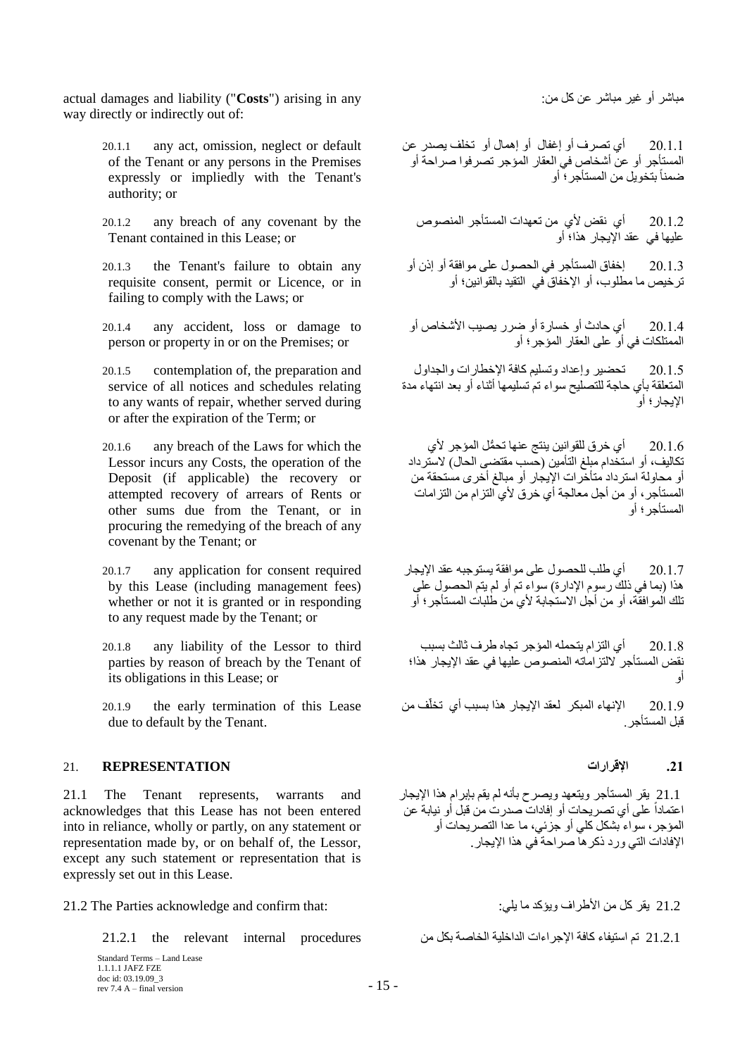ٓجبّو أٝ ؿ٤و ٓجبّو ػٖ ًَ :ٖٓ any in arising") **Costs** ("liability and damages actual way directly or indirectly out of:

- 20.1.1 any act, omission, neglect or default of the Tenant or any persons in the Premises expressly or impliedly with the Tenant's authority; or
- 20.1.2 any breach of any covenant by the Tenant contained in this Lease; or
- 20.1.3 the Tenant's failure to obtain any requisite consent, permit or Licence, or in failing to comply with the Laws; or
- 20.1.4 any accident, loss or damage to person or property in or on the Premises; or
- 20.1.5 contemplation of, the preparation and service of all notices and schedules relating to any wants of repair, whether served during or after the expiration of the Term; or
- 20.1.6 any breach of the Laws for which the Lessor incurs any Costs, the operation of the Deposit (if applicable) the recovery or attempted recovery of arrears of Rents or other sums due from the Tenant, or in procuring the remedying of the breach of any covenant by the Tenant; or
- 20.1.7 any application for consent required by this Lease (including management fees) whether or not it is granted or in responding to any request made by the Tenant; or
- 20.1.8 any liability of the Lessor to third parties by reason of breach by the Tenant of its obligations in this Lease; or
- 20.1.9 the early termination of this Lease due to default by the Tenant.

# **.21 اإللشاساث REPRESENTATION** 21.

21.1 The Tenant represents, warrants and acknowledges that this Lease has not been entered into in reliance, wholly or partly, on any statement or representation made by, or on behalf of, the Lessor, except any such statement or representation that is expressly set out in this Lease.

21.2 ٣وو ًَ ٖٓ األٛواف ٣ٝإًل ٓب :٢ِ٣ :that confirm and acknowledge Parties The 21.2

21.2.1 رُمَ استيفاء كافة الإجراءات الداخلية الخاصة بكل من الله عليه من 21.2.1 the relevant internal procedures

Standard Terms – Land Lease 1.1.1.1 JAFZ FZE doc id: 03.19.09\_3 rev 7.4 A – final version  $-15$  –

20.1.1 أي تصرف أو إغفال أو إهمال أو تخلف يصدر عن أَُزأعو أٝ ػٖ أّقبٓ ك٢ اُؼوبه أُإعو رٖوكٞا ٕواؽخ أٝ ضمناً بتخويل من المستأجر ؛ أو ً

20.1.2 أي نقض لأي من تعهدات المستأجر المنصوص عليها في عقد الإيجار هذا؛ أو

20.1.3 إخفاق المستأجر في الحصول على موافقة أو إذن أو تر خيص ما مطلوب، أو الإخفاق ّفي النقيد بالقوانين؛ أو

20.1.4 أي حادث أو خسارة أو ضرر يصيب الأشخاص أو اً ابن سبب كتاب.<br>الممتلكات في أو علي العقار المؤجر ؛ أو

20.1.5 تحضير وإعداد وتسليم كافة الإخطارات والجداول المتعلقة بأي حاجة للتصليح سواء تم تسليمها أثناء أو بعد انتهاء مدة الإبجار ؛ أو

20.1.6 أي خرق للقوانين ينتج عنها تحمُّل المؤجر لأي تكاليف، أو استخدام مبلغ التأمين (حسب مقتضى الحال) لاستر داد أو محاولةً استر داد متأخر ات الإيجار أو مبالغ أخر ى مستحقة من س<br>المستأجر ، أو من أجل معالجة أي خر ق لأي النز ام من النز امات أأُمستأُجر ؛ أو

20.1.7 أي طلب للحصول على موافقة يستوجبه عقد الإيجار هذا (بما في ذلك رسوم الإدارة) سواء تم أو لم يتم الحصول على تلك اُلمو افقة، أو من أجل الاستجابة لأي من طلبات المستأجر ؛ أو

20.1.8 أي التزام يتحمله المؤجر تجاه طرف ثالث بسبب نقض المستأجر ً لالتز اماته المنصوص عليها في عقد الإيجار هذا؛ أٝ

20.1.9 الإنهاء المبكر لعقد الإيجار هذا بسبب أي تخلّف من قبل المستأجر

21.1 يقر المستأجر ويتعهد ويصرح بأنه لم يقم بإبرام هذا الإيجار ا عباسة من الله عنه الله عنها في الله من المسلمان.<br>اعتماداً على أي تصريحات أو إفادات صدرت من قبل أو نيابة عن المؤجرِ ، سواء بشكل كلى أو جزئي، ما عدا التصريحات أو الإفادات التي ورد ذكر ها صر احة في هذا الإيجار .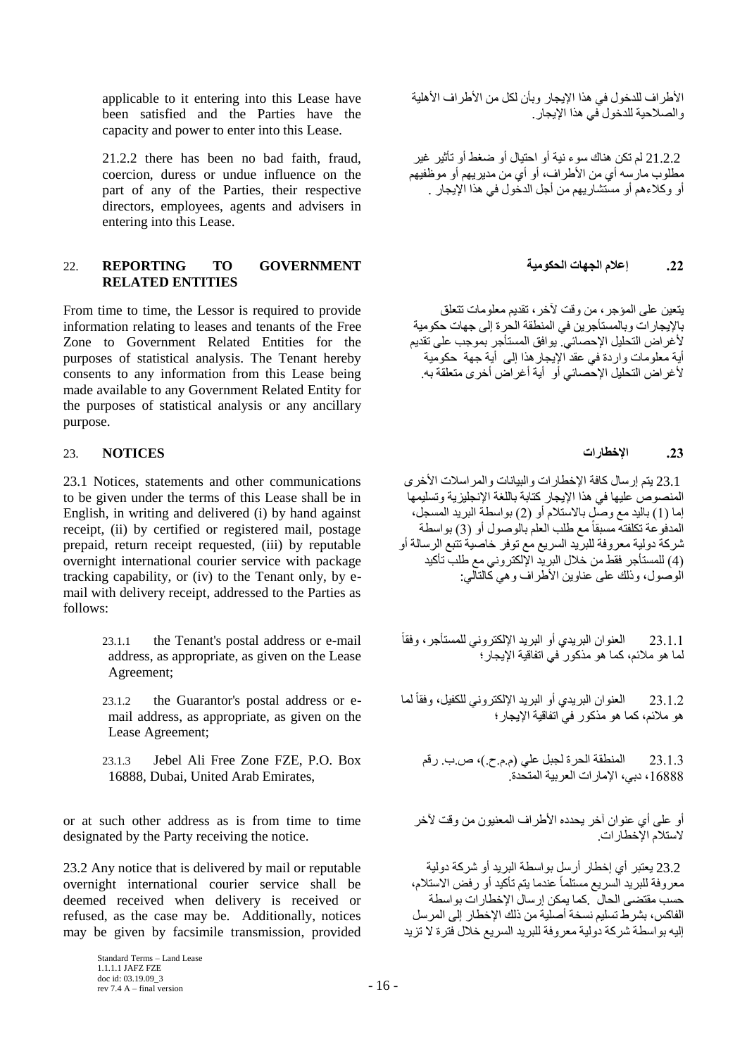applicable to it entering into this Lease have been satisfied and the Parties have the capacity and power to enter into this Lease.

21.2.2 there has been no bad faith, fraud, coercion, duress or undue influence on the part of any of the Parties, their respective directors, employees, agents and advisers in entering into this Lease.

## **.22 إػالو انجهاث انحكىييت GOVERNMENT TO REPORTING** 22. **RELATED ENTITIES**

From time to time, the Lessor is required to provide information relating to leases and tenants of the Free Zone to Government Related Entities for the purposes of statistical analysis. The Tenant hereby consents to any information from this Lease being made available to any Government Related Entity for the purposes of statistical analysis or any ancillary purpose.

# **.23 اإلخطاساث NOTICES** 23.

23.1 Notices, statements and other communications to be given under the terms of this Lease shall be in English, in writing and delivered (i) by hand against receipt, (ii) by certified or registered mail, postage prepaid, return receipt requested, (iii) by reputable overnight international courier service with package tracking capability, or (iv) to the Tenant only, by email with delivery receipt, addressed to the Parties as follows:

- 23.1.1 the Tenant's postal address or e-mail address, as appropriate, as given on the Lease Agreement;
- 23.1.2 the Guarantor's postal address or email address, as appropriate, as given on the Lease Agreement;
- 23.1.3 Jebel Ali Free Zone FZE, P.O. Box 16888, Dubai, United Arab Emirates,

or at such other address as is from time to time designated by the Party receiving the notice.

23.2 Any notice that is delivered by mail or reputable overnight international courier service shall be deemed received when delivery is received or refused, as the case may be. Additionally, notices may be given by facsimile transmission, provided

الأطراف للدخول في هذا الإيجار وبأن لكل من الأطراف الأهلية و الصلاحية للدخو ل في هذا الإيجار .

21.2.2 لم تكن هناك سوء نية أو احتيال أو ضغط أو تأثير غير مطلوب ماريسه أي من الأطراف، أو أي من مديريهم أو موظفيهم أو وكلاءهم أو مستشار بهم من أجل الدُّخول في هذا الإبجار

يتعين على المؤجر ، من وقت لآخر ، تقديم معلومات تتعلق بالإيجارِ ات وبالمستأجرِ بن في المنطقة الحرة إلى جهات حكومية لأغر اض التحليل الإحصائي. يوافق المستأجر بموجب على تقديم أية معلومات واردة في عقد الإيجار هذا إلى أية جهة حكومية لأغر اضّ التحلّيلُ الإحصائي أو ۗ أيّة أغر اض أخر ي متعلقة به

23.1 يتم إرسال كافة الإخطارات والبيانات والمراسلات الأخرى الْمنصوص عليها في هذا الإيجار كتابة باللغة الإنجليزية وتسليمها إما (1) باليد مع وصلٍ بالاستلام أو (2) بواسطة البريد المسجل، المدفُوعة تكلفته مسبقاً مع طلب العلم بالوصول أو (3) بواسطة شركة دولية معروفة للبريد السريع مع توفر خاصية تُتبع الرسالة أو سرت -ترتيب مرر.<br>(4) المستأجر فقط من خلال البريد الإلكترونسي مع طلب تأكيد الُوصول، وذلك على عناوين الأطر اف و هي كَالتآلي:

ً 23.1.1 اُؼٞ٘إ اُجو٣ل١ أٝ اُجو٣ل اإلٌُزو٢ٗٝ َُِٔزأعو، ٝكوب لما هو ملائم، كما هو مذكور ْفي اتفاقية الإيجارِ ؛

23.1.2 العنوان البريدي أو البريد الإلكتروني للكفيل، وفقأ لما ً هو ملائم، كما هو مذكور في اتفاقية الإيجار ؛

23.1.3 المنطقة الحرة لجبل علي (م.م.ح.)، ص.ب. رقم 16888، دبي، الإمار ات العربية المتحدة.

أو على أي عنوان آخر يحدده الأطراف المعنيون من وقت لأخر لاستلام الإخطار ات.

23.2 يعتبر أي إخطار أرسل بواسطة البريد أو شركة دولية معروفة للبريد اَلسريع مستلماً عندما يتم تأكيد أو رفض الاستلام، حسب مقتضى الحال ۖ كما بمكن إر سال الإخطار ات بو اسطة الْفاكس، بشر طِّ تسليم نسخة أصلية من ذلك الإخطار إلى المر سل إليه بواسطة شركة دولية معروفة للبريد السريع خلال فترة لا تزيد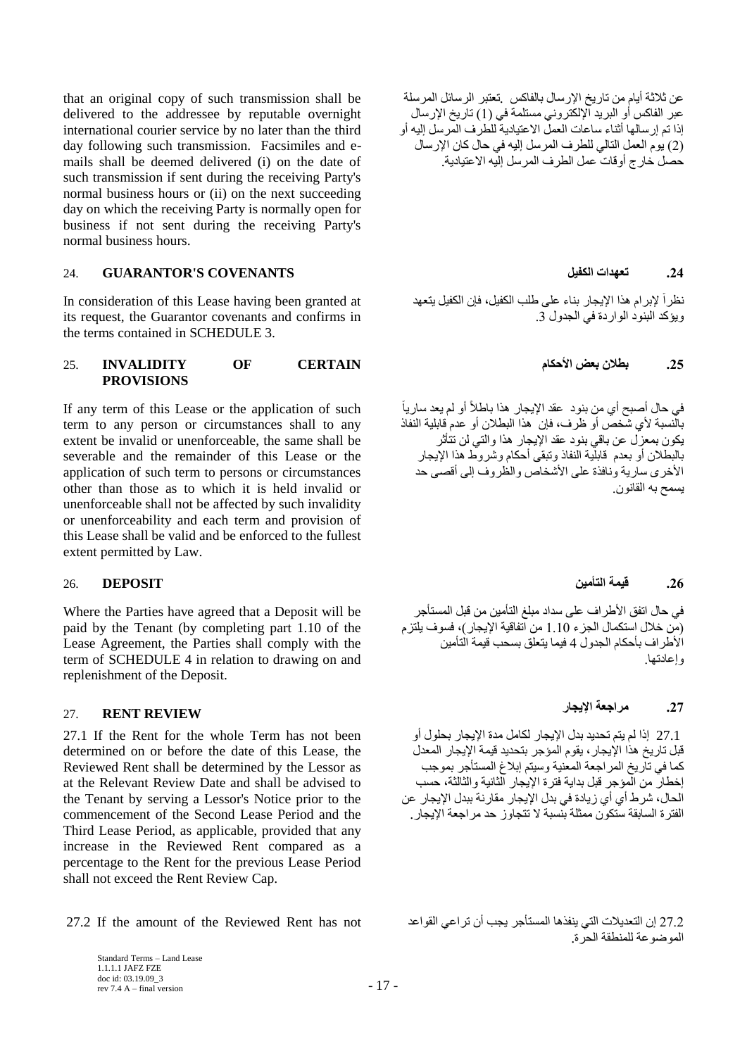that an original copy of such transmission shall be delivered to the addressee by reputable overnight international courier service by no later than the third day following such transmission. Facsimiles and emails shall be deemed delivered (i) on the date of such transmission if sent during the receiving Party's normal business hours or (ii) on the next succeeding day on which the receiving Party is normally open for business if not sent during the receiving Party's normal business hours.

# 24. **GUARANTOR'S COVENANTS انكفيم تؼهذاث .24**

In consideration of this Lease having been granted at its request, the Guarantor covenants and confirms in the terms contained in SCHEDULE 3.

## **.25 بطالٌ بؼض األحكاو CERTAIN OF INVALIDITY** 25. **PROVISIONS**

If any term of this Lease or the application of such term to any person or circumstances shall to any extent be invalid or unenforceable, the same shall be severable and the remainder of this Lease or the application of such term to persons or circumstances other than those as to which it is held invalid or unenforceable shall not be affected by such invalidity or unenforceability and each term and provision of this Lease shall be valid and be enforced to the fullest extent permitted by Law.

Where the Parties have agreed that a Deposit will be paid by the Tenant (by completing part 1.10 of the Lease Agreement, the Parties shall comply with the term of SCHEDULE 4 in relation to drawing on and replenishment of the Deposit.

# <span id="page-16-0"></span>**REVIEW RENT** 27. **.27 يشاجؼت اإليجاس**

27.1 If the Rent for the whole Term has not been determined on or before the date of this Lease, the Reviewed Rent shall be determined by the Lessor as at the Relevant Review Date and shall be advised to the Tenant by serving a Lessor's Notice prior to the commencement of the Second Lease Period and the Third Lease Period, as applicable, provided that any increase in the Reviewed Rent compared as a percentage to the Rent for the previous Lease Period shall not exceed the Rent Review Cap.

27.2 If the amount of the Reviewed Rent has not

Standard Terms – Land Lease 1.1.1.1 JAFZ FZE doc id: 03.19.09\_3 rev 7.4 A – final version  $-17$  –

عن ثلاثة أيام من تاريخ الإرسال بالفاكس بتعتبر الرسائل المرسلة عبر الفاكس أو البريد الإلكتروني مستلمة في (1) تاريخ الإرسال إذا تم إرسالها أثناء ساعات العملّ الاعتيادية للطرف المّرسل إليه أو (2) يوم العمل التالي للطرف المرسل إليه في حال كان الإرسال حَصْل خَارِ ج أو قاتٌ عمل الطر ف المر سل الله الاعتبادية.

نظر اً لإبر ام هذا الإيجار بناء على طلب الكفيل، فإن الكفيل يتعهد ويؤكد البنود الواردة في الجدول 3.

ً في حال أصبح أي من بنود عقد الإيجار هذا باطلأ أو لم يعد سارياً بالّنسبة لأى شّخص أو ظرف، فإن هذا البطلان أو عدم فابلية النفاذ يكون بمعزل عن باقي بنود عقد الإيجار هذا والتي لن تتأثر بالبطلان أو بعدم قابلّية النفاذ وتبقى أحكام وشروط هذا الإيجار الأخرى سارية ونافذة على الأشخاص والظروف إلى أقصى حد يسمح به القانون.

## **.26 ليًت انتأييٍ DEPOSIT** 26.

في حال اتفق الأطراف على سداد مبلغ التأمين من قبل المستأجر (مَن خلال استكمال الجزء 1.10 من الفاقية الإيجار )، فسوف يلتزم الُأطر اف بأحكام الْجِدو ل 4 فيما يتعلق بسحب قيمة التأمين و اعادتها

27.1 إذا لم بتم تحدبد بدل الإبجار لكامل مدة الإبجار بحلو ل أو قبل تاريخ هذا الإيجار ، يقوم المؤجر بتحديد قيمة الإيجار المعدل كما في تأريخ المراجعة المعنية وسيتم إبلاغ المستأجر بموجب إخطار من الْمؤجر قبل بداية فترة الإيجار الثانية والثالثة، حسب الْحال، شرط أي أي زيادة في بدل الإيجار مقارنة ببدل الإيجار عن الفتر ة السابقة ستكون ممثلة بِنسبة لا تتجاوز حد مر اجعة الإيجار .

27.2 إن التعديلات التي ينفذها المستأجر يجب أن تراعي القواعد الموضوعة للمنطقة الحرة.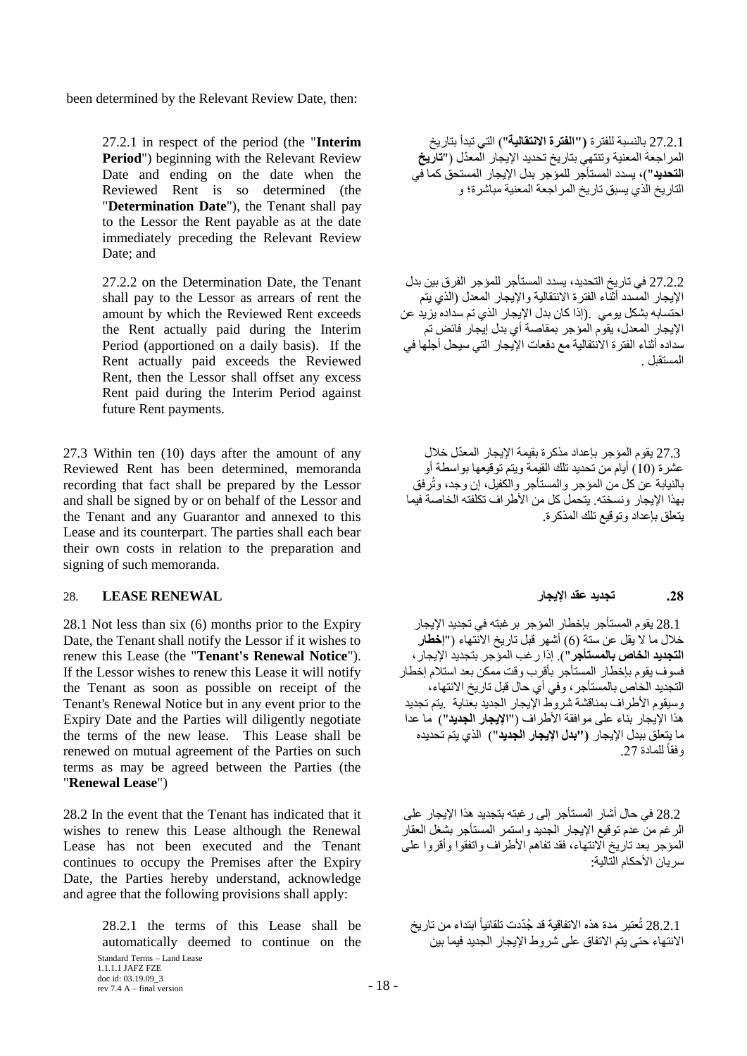been determined by the Relevant Review Date, then:

27.2.1 in respect of the period (the "**Interim Period**") beginning with the Relevant Review Date and ending on the date when the Reviewed Rent is so determined (the "**Determination Date**"), the Tenant shall pay to the Lessor the Rent payable as at the date immediately preceding the Relevant Review Date; and

27.2.2 on the Determination Date, the Tenant shall pay to the Lessor as arrears of rent the amount by which the Reviewed Rent exceeds the Rent actually paid during the Interim Period (apportioned on a daily basis). If the Rent actually paid exceeds the Reviewed Rent, then the Lessor shall offset any excess Rent paid during the Interim Period against future Rent payments.

27.3 Within ten (10) days after the amount of any Reviewed Rent has been determined, memoranda recording that fact shall be prepared by the Lessor and shall be signed by or on behalf of the Lessor and the Tenant and any Guarantor and annexed to this Lease and its counterpart. The parties shall each bear their own costs in relation to the preparation and signing of such memoranda.

## <span id="page-17-0"></span>**.28 تجذيذ ػمذ اإليجاس RENEWAL LEASE** 28.

28.1 Not less than six (6) months prior to the Expiry Date, the Tenant shall notify the Lessor if it wishes to renew this Lease (the "**Tenant's Renewal Notice**"). If the Lessor wishes to renew this Lease it will notify the Tenant as soon as possible on receipt of the Tenant's Renewal Notice but in any event prior to the Expiry Date and the Parties will diligently negotiate the terms of the new lease. This Lease shall be renewed on mutual agreement of the Parties on such terms as may be agreed between the Parties (the "**Renewal Lease**")

28.2 In the event that the Tenant has indicated that it wishes to renew this Lease although the Renewal Lease has not been executed and the Tenant continues to occupy the Premises after the Expiry Date, the Parties hereby understand, acknowledge and agree that the following provisions shall apply:

> 28.2.1 the terms of this Lease shall be automatically deemed to continue on the

Standard Terms – Land Lease 1.1.1.1 JAFZ FZE doc id: 03.19.09\_3 rev 7.4 A – final version  $-18$  –

27.2.1 بالنسبة للفترة **( ''الفترة الانتقالية''**) التي تبدأ بتاريخ المراجعة المعنية وتنتهي بتاريخ تحديد الإيجار المعدّل ("**تاريخ** ا**نتحديد**")، يسدد المستأجر للمؤجر بدل الإيجار المستحق كما في الْتَارِ بِخِ الَّذِي بِسبقٍ تارٍ بِخِ الْمِرِ اجِعةِ المعنبةَ مباشرٍ ة؛ و

27.2.2 في تاريخ التحديد، يسدد المستأجر للمؤجر الفرق بين بدل الإيجار المسدد أَثنّاء الفترة الانتقالية والإيجار المعدل (الذي يتم احتسابه بشكل بومي .(إذا كان بدل الإيجار الذي تم سداده يزيد عن الإيجار المعدل، يقوّم المؤجر بمقاصنة أي بدل إيجار فائض تم سداده أثناء الفتر ة الانتقالية مع دفعات الإيجار التي سيحل أجلها في المستقبل .

27.3 يقوم المؤجر بإعداد مذكرة بقيمة الإيجار المعدّل خلال عشرة (10) أيام من تحديد تلك القيمة ويتم توقيعها بواسطة أو بالنيابة ُعن كل من المؤجر والمستأجر والكفيل، إن وجد، وتُرفق بهذا الإيجار ۖ ونسخته ِ يتحمل كل من الأطر اف تكلفته الخاصة فيما يتعلق بإعداد وتوقيع تلك المذكرة.

28.1 يقوم المستأجر بإخطار المؤجر برغبته في تجديد الإيجار خلال ما لا يقل عن سنة (6) أشهر قبل تاريخ الانتهاء ("إ**خطا**ر ا**لتجديد الخاص بالمستأجر**"). إذا ر غب الموّجر بتجديد<sup>ً</sup> الإيجار ، فسو ف يقو م بإخطار المستأجر بأقر ب و قت ممكن بعد استلام إخطار التجديد الخاص بالمستأجر ، وفي أي حال قبل تاريخ الانتهاء، وسيقوم الأطراف بمناقشة شروط الإيجار الجديد بعناية بيتم تجديد هذا الإيجار بناء على موافقة الأطراف ("**الإيجار الجديد"**) ما عدا ما بتعلق بيدل الإبجار **("بدل الإيجار الجديد"**) الذي بتم تُحديده رفقاً للمادة 27.

28.2 في حال أشار المستأجر إلى رغبته بتجديد هذا الإيجار على الرغم من عدم توفيع الإيجار الجديد واستمر المستأجر بشغل العقار المؤجر بعد تاريخ الانتهاء، فقد تفاهم الأطراف واتفقوا وأقروا على سر بان الأحكام الّتّالية:

28.2.1 تُعتبر مدة هذه الاتفاقية قد جُدّدت تلقائياً ابتداء من تاريخ الإنتهاء حتى بتّم الإتفاق على شر وط الإيجار الحديد فيما بين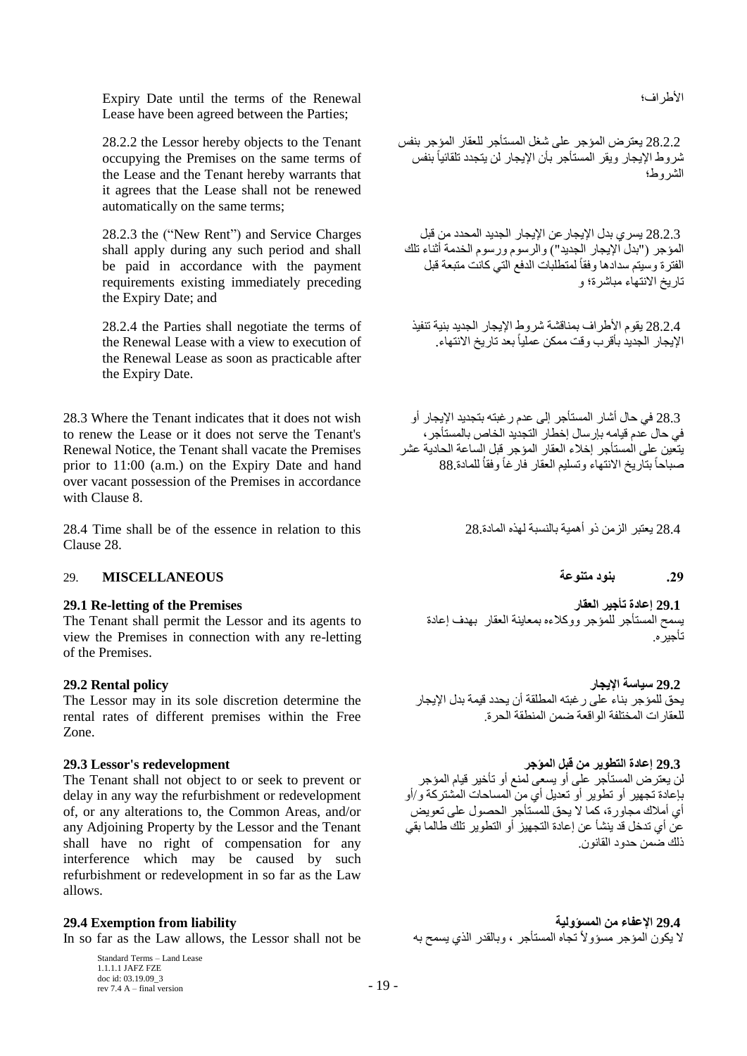Expiry Date until the terms of the Renewal الأطراف؛ Lease have been agreed between the Parties;

28.2.2 the Lessor hereby objects to the Tenant occupying the Premises on the same terms of the Lease and the Tenant hereby warrants that it agrees that the Lease shall not be renewed automatically on the same terms;

28.2.3 the ("New Rent") and Service Charges shall apply during any such period and shall be paid in accordance with the payment requirements existing immediately preceding the Expiry Date; and

28.2.4 the Parties shall negotiate the terms of the Renewal Lease with a view to execution of the Renewal Lease as soon as practicable after the Expiry Date.

28.3 Where the Tenant indicates that it does not wish to renew the Lease or it does not serve the Tenant's Renewal Notice, the Tenant shall vacate the Premises prior to 11:00 (a.m.) on the Expiry Date and hand over vacant possession of the Premises in accordance with Clause [8.](#page-7-0)

28.4 يعتبر الزمن ذو أهمية بالنسبة لهذه المادة.28٪ ويعتبر الزمن ذو أهمية بالنسبة لهذه المادة.28٪ ويعتبر الزمن ذ Clause [28.](#page-17-0)

# **.29 بُىد يتُىػت MISCELLANEOUS** 29.

The Tenant shall permit the Lessor and its agents to view the Premises in connection with any re-letting of the Premises.

The Lessor may in its sole discretion determine the rental rates of different premises within the Free Zone.

The Tenant shall not object to or seek to prevent or delay in any way the refurbishment or redevelopment of, or any alterations to, the Common Areas, and/or any Adjoining Property by the Lessor and the Tenant shall have no right of compensation for any interference which may be caused by such refurbishment or redevelopment in so far as the Law allows.

In so far as the Law allows, the Lessor shall not be

Standard Terms – Land Lease 1.1.1.1 JAFZ FZE doc id: 03.19.09\_3  $\frac{\text{arcc} \cdot \text{ar} \cdot \text{ar} \cdot \text{ar} \cdot \text{ar} \cdot \text{ar} \cdot \text{ar} \cdot \text{ar} \cdot \text{ar} \cdot \text{ar} \cdot \text{ar} \cdot \text{ar} \cdot \text{ar} \cdot \text{ar} \cdot \text{ar} \cdot \text{ar} \cdot \text{ar} \cdot \text{ar} \cdot \text{ar} \cdot \text{ar} \cdot \text{ar} \cdot \text{ar} \cdot \text{ar} \cdot \text{ar} \cdot \text{ar} \cdot \text{ar} \cdot \text{ar} \cdot \text{ar} \cdot \text{ar} \cdot \text{ar} \cdot \text{ar} \cdot$ 

28.2.2 يعترض المؤجر على شغل المستأجر للعقار المؤجر بنفس تْنزوط الإيجاز ويقر المستأجر بأن الإيجار لن يتجدد تلقائياً بنفس ً الشر و ط؛

28.2.3 يسر ي بدل الإيجار عن الإيجار الجديد المحدد من قبل المؤجر ("بدل الإيجار الجديد") والرسوم ورسوم الخدمة أثناء تلك الفترة وسيتم سدادها وفقاً لمتطلبات الدفع التي كانت متبعة قبل تاربخ الانتهاء مباشر ة؛ و

28.2.4 يقوم الأطراف بمناقشة شروط الإيجار الجديد بنية تنفيذ الإيجار الجديد بأقرب وقت ممكن عملياً بعد تاريخ الانتهاء.

28.3 في حال أشار المستأجر إلى عدم ر غبته بتجديد الإيجار أو في حال عدم قيامه بأرسال اخطار التحديد الخاص بالمستأجر ، يتَعين على الْمستأجر ۖ إِخلاء العقار ۖ المؤجر ۖ قبل الساعة الحادية عشر صباحاً بتاريخ الانتهاء وتسليم العقار فارغاً وفقاُ للمادة 88 اً<br>ا

ذلكَ ضمن حدود القانون.

**29.1 Re-letting of the Premises انؼماس تأجيش إػادة 29.1**  يسمح المستأجر للمؤجر ووكلاءه بمعاينة العقار بهدف إعادة تأجير ه.

 **29.2 سياست اإليجاس policy Rental 29.2** يحق للمؤجر بناء على رغبته المطلقة أن يحدد قيمة بدل الإيجار للعقار ات المختلفة الو اقعة ضمن المنطقة الحرة.

 **29.3 إػادة انتطىيش يٍ لبم انًؤجش redevelopment s'Lessor 29.3** لن يعترض المستأجر على أو يسعى لمنع أو تأخير قيام المؤجر بإعادة تجهير أو تطوير أو تعديل أي من المساحات المشتركة و/أو أي أملاك مجاورة، كما لا يحق للمستأجر الحصول على تعويض عن أي تدخل قد ينشأ عن إعادة التجهيز أو التطوير تلك طالما بقي

2**9.4 Exemption from liability**<br>لا يكون المؤجر مسؤولاً تجاه المستأجر ، وبالقدر الذي يسمح به In so far as the Law allows, the Lessor shall not be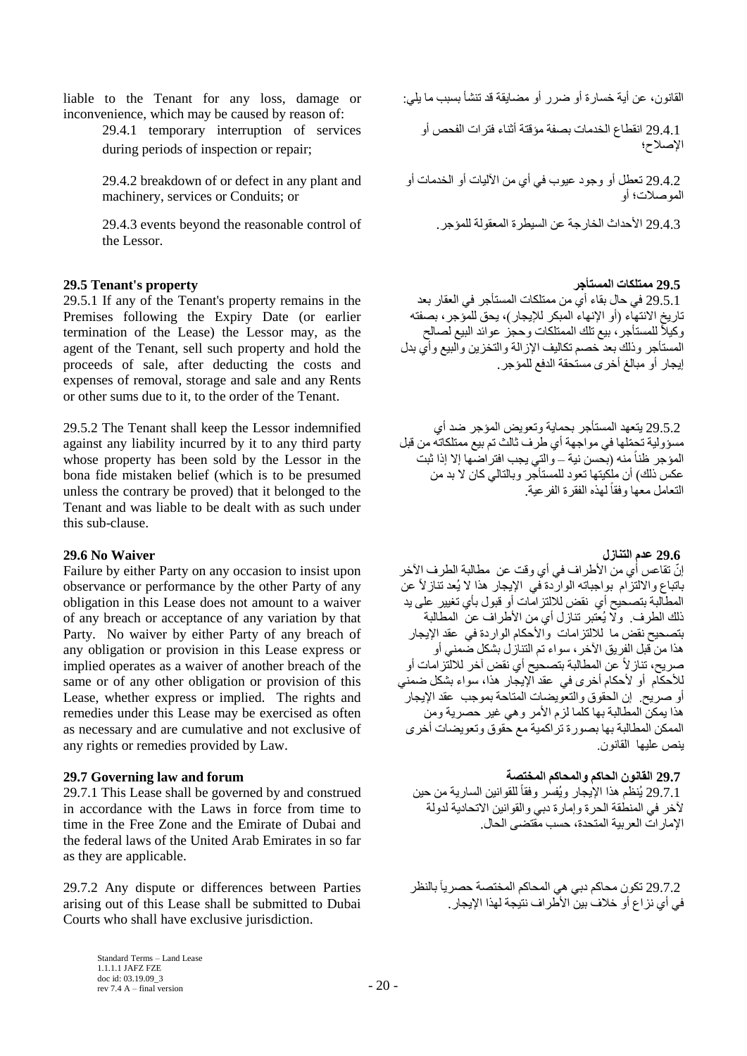inconvenience, which may be caused by reason of:

29.4.1 temporary interruption of services during periods of inspection or repair;

29.4.2 breakdown of or defect in any plant and machinery, services or Conduits; or

 29.4.3 األؽلاس اُقبهعخ ػٖ ا٤َُطوح أُؼوُٞخ ُِٔإعو. of control reasonable the beyond events 29.4.3 the Lessor.

## **29.5 يًتهكاث انًستأجش property s'Tenant 29.5**

29.5.1 If any of the Tenant's property remains in the Premises following the Expiry Date (or earlier termination of the Lease) the Lessor may, as the agent of the Tenant, sell such property and hold the proceeds of sale, after deducting the costs and expenses of removal, storage and sale and any Rents or other sums due to it, to the order of the Tenant.

29.5.2 The Tenant shall keep the Lessor indemnified against any liability incurred by it to any third party whose property has been sold by the Lessor in the bona fide mistaken belief (which is to be presumed unless the contrary be proved) that it belonged to the Tenant and was liable to be dealt with as such under this sub-clause.

## **29.6 ػذو انتُاصل Waiver No 29.6**

Failure by either Party on any occasion to insist upon observance or performance by the other Party of any obligation in this Lease does not amount to a waiver of any breach or acceptance of any variation by that Party. No waiver by either Party of any breach of any obligation or provision in this Lease express or implied operates as a waiver of another breach of the same or of any other obligation or provision of this Lease, whether express or implied. The rights and remedies under this Lease may be exercised as often as necessary and are cumulative and not exclusive of any rights or remedies provided by Law.

# **29.7 انماَىٌ انحاكى وانًحاكى انًختظت forum and law Governing 29.7**

29.7.1 This Lease shall be governed by and construed in accordance with the Laws in force from time to time in the Free Zone and the Emirate of Dubai and the federal laws of the United Arab Emirates in so far as they are applicable.

29.7.2 Any dispute or differences between Parties arising out of this Lease shall be submitted to Dubai Courts who shall have exclusive jurisdiction.

القانون، عن أية خسارة أو ضرر أو مضايقة قد تنشأ بسبب ما يلي: liable to the Tenant for any loss, damage or

29.4.1 انقطاع الخدمات بصفة مؤقتة أثناء فترات الفحص أو الإصلاح؛

29.4.2 نعطل أو وجود عيوب في أي من الأليات أو الخدمات أو الموصلات؛ أه

29.5.1 في حال بقاء أي من ممتلكات المستأجر في العقار بعد ربه.<br>تاريخ الانتهاء (أو الإنهاء المبكر للإيجار)، يحق للمؤجر، بصفته وكيلاً للمستأجر ، بيع نلك الممتلكات وحجز عوائد البيع لصالح المستأجر وذلك بعد خصم تكاليف الإزالة والتخزين والبيع وأي بدل إيجار أو مبالغ أخر ى مستحقة الدفع للمؤجر .

29.5.2 يتعهد المستأجر بحماية وتعويض المؤجر ضد أي مسؤولية تحمّلها في مواجهة أي طرف ثالث تم بيع ممتلكاته من قبل المؤجر ظناً منه (بحسن نية – والتي يجب افتر اضما إلا إذا ثبت عكس ذلك) أن ملكيتها نعود للمستأجر وبالتالي كان لا بد من التعامل معها وفقاً لهذه الفقرة الفرعية.

إنّ تقاعس أي من الأطراف في أي وقت عن مطالبة الطرف الأخر باتباع والالتزام بواجباته الواردة فبي الإيجار هذا لا يُعد تناز لأ عن المطالبة بتصحيح أي نقض للألتز امّات أو قبول بأي تغيير على بد ذلك الطرف. ۚ ولَّا يُعتبر تنازل أي من الأطراف عن المطالبة بتصحيح نقض ما للالتّزامات والأحكام الواردة في عقد الإيجار هذا من قبل الفريق الآخر ، سواء تم التنازل بشكل ضمنى أو صريح، تناز لاً عن المطالبة بتصحيح أي نقض آخر للالْتز امات أو للأحكّام أو لأحكام أخرى في عقد الإيجّار هذا، سواء بشكل ضمني أو صريح. إن الحقوق والتعويضات المناحة بموجب عقد الإيجار هذا يمكنّ المطالبة بها كلما لزم الأمر وهي غير حصرية ومن الممكن المطالبة بها بصورة تراكمية مع حقوق وتعويضات أخرى بنص علبها القانون

29.7.1 يُنظْم هذا الإيجار ويُفسر وفقاً للقوانين السارية من حين لأخر في المنطقة الحرة وإمارة دبي والقوانين الاتحادية لدولة الإمار اتّ العر ببة المتحدة، حسب مُقتضى الحال.

29.7.2 نكون محاكم دبي هي المحاكم المختصة حصرياً بالنظر في أي نز اع أو خلاف بين الأطر اف نتيجة لهذا الإيجار .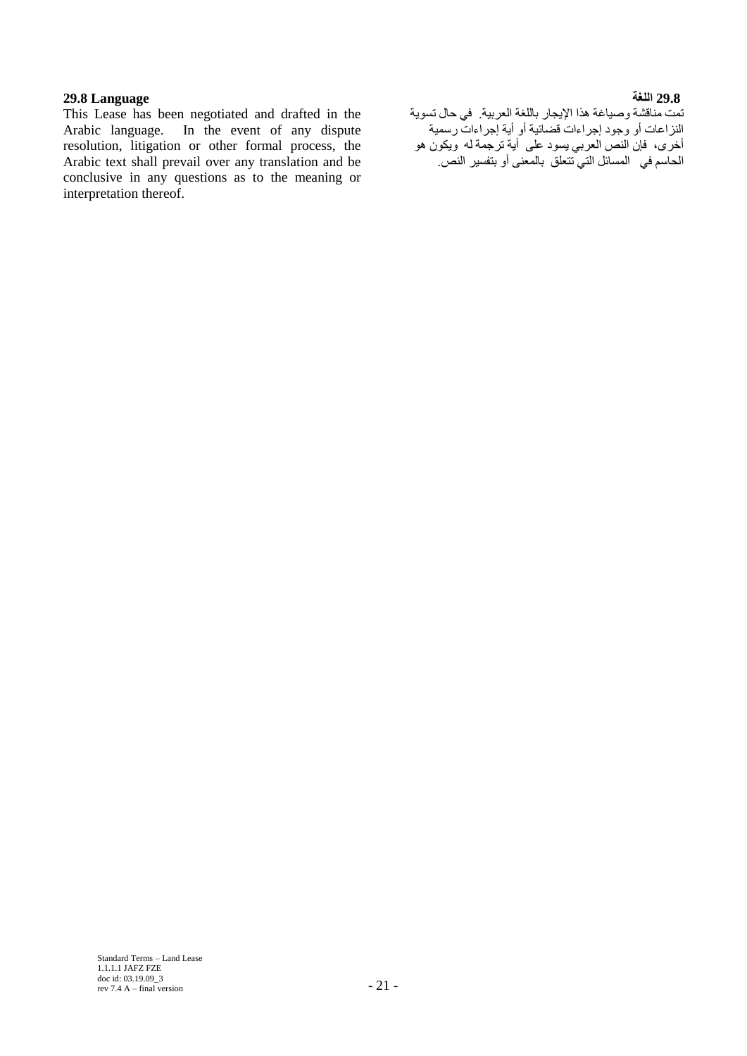# **29.8 انهغت Language 29.8**

This Lease has been negotiated and drafted in the Arabic language. In the event of any dispute resolution, litigation or other formal process, the Arabic text shall prevail over any translation and be conclusive in any questions as to the meaning or interpretation thereof.

تمت مناقشة وصياغة هذا الإيجار باللغة العربية. في حال تسوية النزاعات أو وجود إجراءات قضائية أو أية إجراءات رسمية أخرى، فإن النص العربي يسود على أية ترجمة له ويكون هو رت<br>الحاسم في المسائل التي تتعلّق بالمعنى أو بتفسير النص.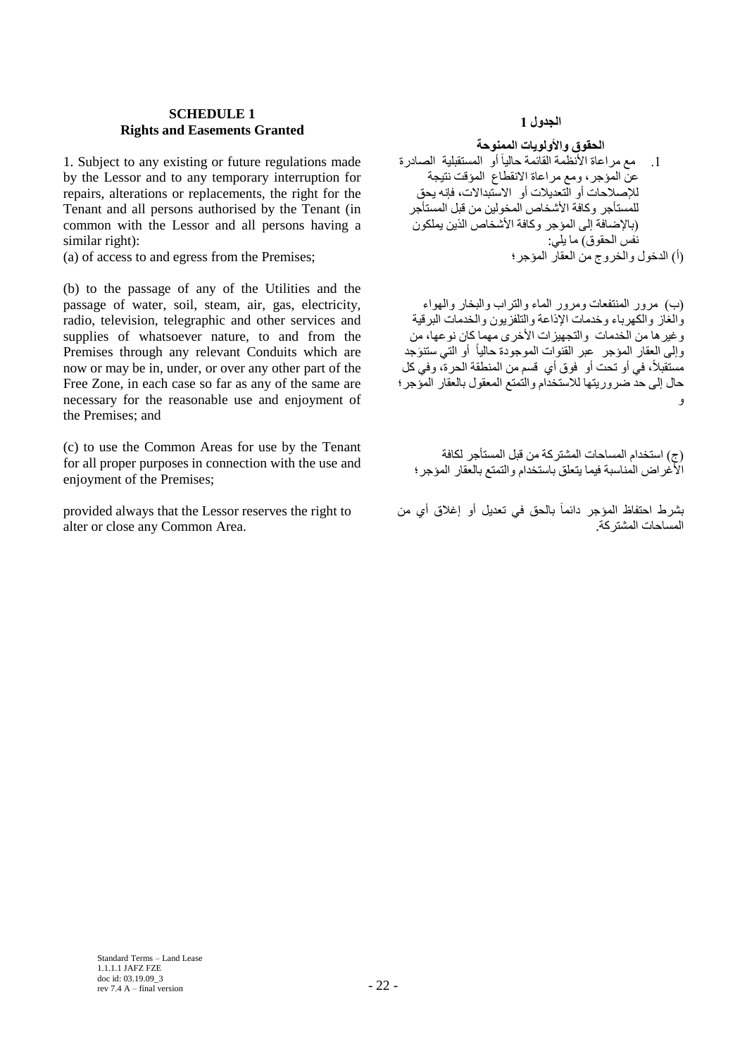## **SCHEDULE 1 Rights and Easements Granted**

1. Subject to any existing or future regulations made by the Lessor and to any temporary interruption for repairs, alterations or replacements, the right for the Tenant and all persons authorised by the Tenant (in common with the Lessor and all persons having a similar right):

 $(a)$  of access to and egress from the Premises;

(b) to the passage of any of the Utilities and the passage of water, soil, steam, air, gas, electricity, radio, television, telegraphic and other services and supplies of whatsoever nature, to and from the Premises through any relevant Conduits which are now or may be in, under, or over any other part of the Free Zone, in each case so far as any of the same are necessary for the reasonable use and enjoyment of the Premises; and

(c) to use the Common Areas for use by the Tenant for all proper purposes in connection with the use and enjoyment of the Premises;

provided always that the Lessor reserves the right to alter or close any Common Area.

# **انجذول 1**

الحقوق والأولويات الممنوحة

1 . مع مراعاة الأنظمة القائمة حالياً أو المستقبلية الصادرة عنّ المؤجر ، ومع مراعاة الانقطاع المؤقت نتيجة للإصلاحات أو الّتعديلات أو الاسّتبدالات، فإنه يحق للمَستأجر وكافة الأشخاص المخولين من قبل المستأجر (بالإضافة إلى المؤجر وكافة الأشخاص الذين يملكون نُفُس الْحقوق) ما يلي:<br>(أ) الدخول و الخر و ج من العقار المؤجر ؛

(ب) مرور المُنتفعات ومرور الماء والتراب والبخار والهواء وَالْغَازِ والكهرباء وخدمات الإذاعة والتلفزيون والخدمات البرقية وْغير ها من الخدمات ۖ والتجهيزات الأخرى مهما كان نوعها، من وإلى العِقار المِوجر ۖ عِبر القنوات الموجودة حالياً أو التي ستنوَجد ً مَسْتَقَبِلاً، في أو نَحت أو ۚ فوق أي ۖ قسم من المنطقة الْحرة، وفي كل حال إلى حد ضرور يتها للاستخدام والتمتع المعقول بالعقار المؤجر؛ ر

(ج) استخدام المساحات المشتركة من قبل المستأجر لكافة الأُغرِ اض الْمناسبة فيما يتعلّق باستخدام والتمتع بالعقار المؤجرِ؛

بشرط احتفاظ المؤجر دائماً بالحق في تعديل أو إغلاق أي من ً المساحات المشتر كة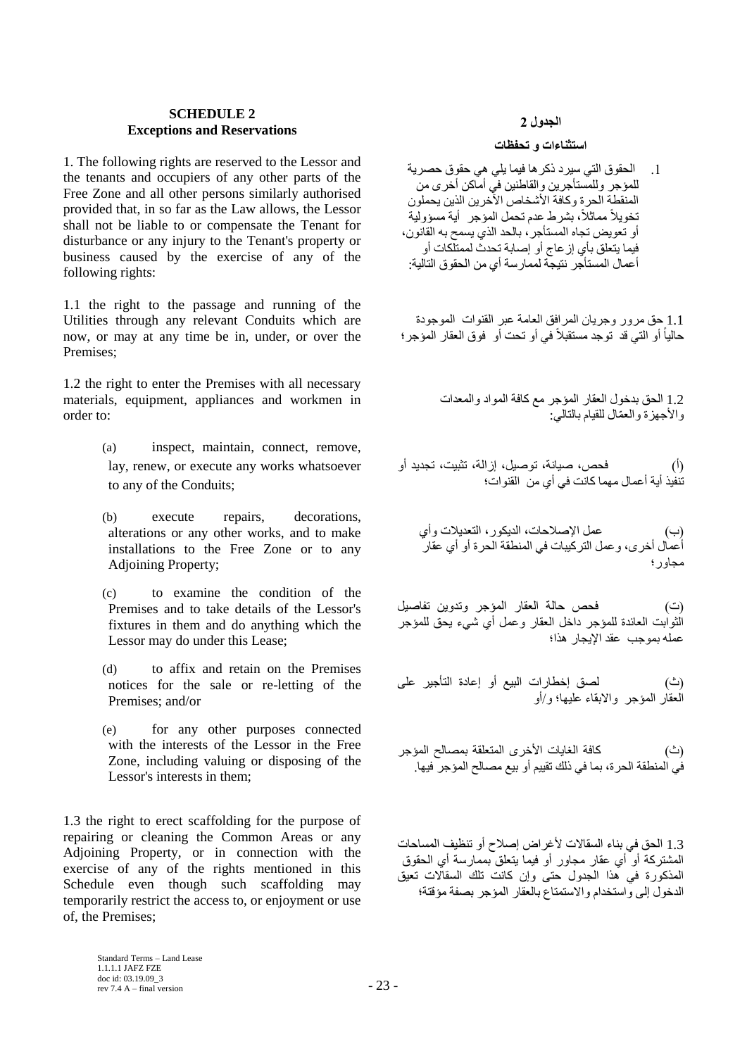## **2 SCHEDULEExceptions and Reservations**

1. The following rights are reserved to the Lessor and the tenants and occupiers of any other parts of the Free Zone and all other persons similarly authorised provided that, in so far as the Law allows, the Lessor shall not be liable to or compensate the Tenant for disturbance or any injury to the Tenant's property or business caused by the exercise of any of the following rights:

1.1 the right to the passage and running of the Utilities through any relevant Conduits which are now, or may at any time be in, under, or over the Premises;

1.2 the right to enter the Premises with all necessary materials, equipment, appliances and workmen in order to:

- (a) inspect, maintain, connect, remove, lay, renew, or execute any works whatsoever to any of the Conduits;
- (b) execute repairs, decorations, alterations or any other works, and to make installations to the Free Zone or to any Adjoining Property;
- (c) to examine the condition of the Premises and to take details of the Lessor's fixtures in them and do anything which the Lessor may do under this Lease;
- (d) to affix and retain on the Premises notices for the sale or re-letting of the Premises; and/or
- (e) for any other purposes connected with the interests of the Lessor in the Free Zone, including valuing or disposing of the Lessor's interests in them;

1.3 the right to erect scaffolding for the purpose of repairing or cleaning the Common Areas or any Adjoining Property, or in connection with the exercise of any of the rights mentioned in this Schedule even though such scaffolding may temporarily restrict the access to, or enjoyment or use of, the Premises;

## **انجذول 2**

## **استثُاءاث و تحفظاث**

1. الحقوق التي سيرد ذكر ها فيما يلي هي حقوق حصرية للمؤجر وللمستأجرين والقاطنين في أماكن أخرى من المنقطة الحر ة وكافة الأشخاص الآخر بن الذين بحملون نخويلاً مماثلاً، بشرط عدم نحمل المؤجر ۖ أية مسؤولية ر.<br>أو تعويض تجاه المستأجر ، بالحد الذي يسمح به القانون، فيما يتعلق بأي إز عاج أو إصابة تحدث لممتلّكات أو أعمال المستأجر نتيجة لممار سة أي من الحقوق التالية:

1.1 حق مرور وجريان المرافق العامة عبر القنوات الموجودة حالياً أو التي قد توجد مستقبلاً في أو تحت أو فوق العقار المؤجر ؛

> 1.2 الحق بدخول العقار المؤجر مع كافة المواد والمعدات والأجهزة والعمّال للقيام بالتالي:

(أ) فحص، صيانة، توصيل، إزالة، تثبيت، تجديد أو تَنفَّيذ أية أعمال مهما كانت في أي من القنوات؛

عمل الإصلاحات، الديكور ، التعديلات و أي أُعَمال أخرى، وعمل التركيبات في المنطقة الحرة أو أي عقار مجاو ر ؛

(ت) (عتب الله عنه الله أن المعنى البين البيض السيل الُثُواْبت العائدة للمؤجر داخل العقار وعمل أي شيء يحق للمؤجر عمله بموجب عقد الإبجار هذا؛

لصق إخطارات البيع أو إعادة التأجير على ي .<br>العقار المؤجر والإيقاء عليها؛ و/أو

كافة الغايات الأخرى المتعلقة بمصالح المؤجر فَى المنطقة الحرة، بما في ذلك تقييم أو بيع مصـالح المؤجر فيها.

1.3 الْحق في بناء السقالات لأغر اض إصلاح أو تنظيف المساحات الْمَشْتَرِكَة أَو أي عقار مجاور أو فيما يتعلق بممارسة أي الحقوق الْمذكورة في هذا الْجدول حتى وإن كانت تلك السقالات تعيق الدخول إلى وُاستخدام والاستمتاع بالعقار المؤجر بصفة مؤقتة؛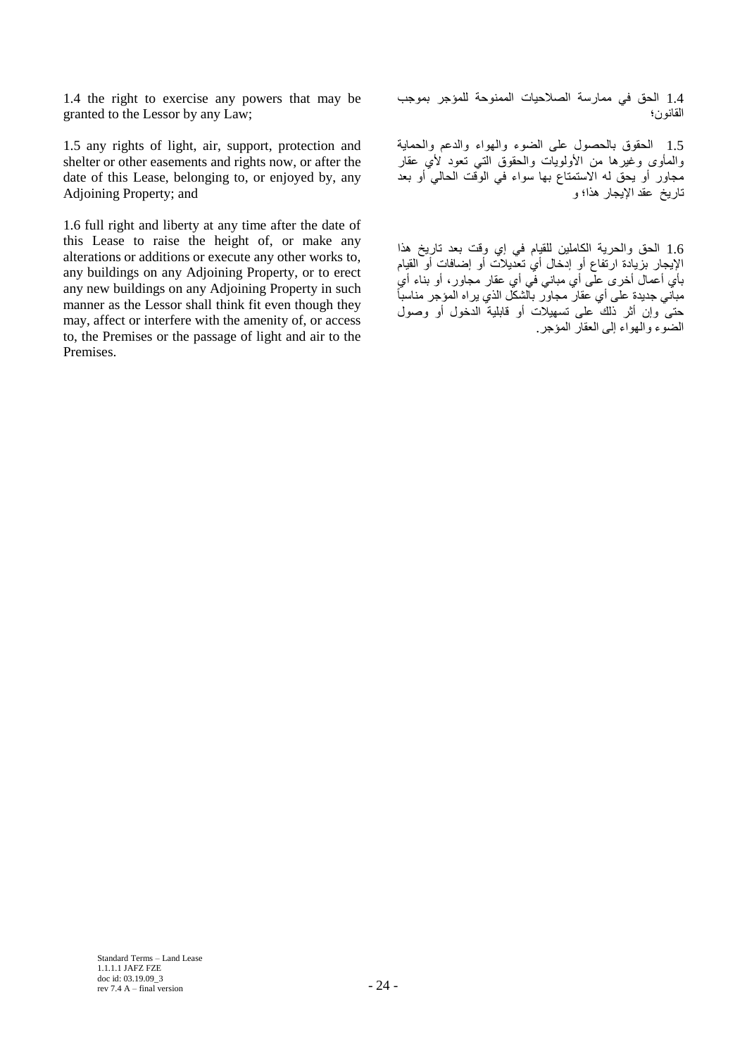1.4 the right to exercise any powers that may be granted to the Lessor by any Law;

1.5 any rights of light, air, support, protection and shelter or other easements and rights now, or after the date of this Lease, belonging to, or enjoyed by, any Adjoining Property; and

1.6 full right and liberty at any time after the date of this Lease to raise the height of, or make any alterations or additions or execute any other works to, any buildings on any Adjoining Property, or to erect any new buildings on any Adjoining Property in such manner as the Lessor shall think fit even though they may, affect or interfere with the amenity of, or access to, the Premises or the passage of light and air to the Premises.

1.4 الْحقّ في ممارسة الصلاحيات الممنوحة للمؤجر بموجب القانون؛

1.5 الْحقوق بِالْحصولِ على الضوء والهواء والدعم والحماية والمأوى وغيرها من الأولويات والحقوق التي تعود لأي عقار مجاور أو يحق له الاستمتاع بها سواء في الوقت الحالي أو بعد تاريخ عقد الإيجار هذا؛ و

1.6 الحق والحرية الكاملين للقيام في إي وقت بعد تاريخ هذا الإيجار بزيادة ارتفاع أو إدخال أي تعديلات أو إضافات أو القيام بأي أعمال أخرى علَّى أي مبانى في أي عقار مجاور، أو بناء أي ً جب سي حسب حسب علي تبيت علي العديم .<br>مباني جديدة علي أي عقار مجاور بالشكل الذي يراه المؤجر مناسباً دَّتِي وَإِنَّ أَثْرِ ذَلِكَ عَلَى تَسْهِيلات أَو قابليةٌ الدخول أَو وصول الضوء والْهواء إلى العقار المؤجر .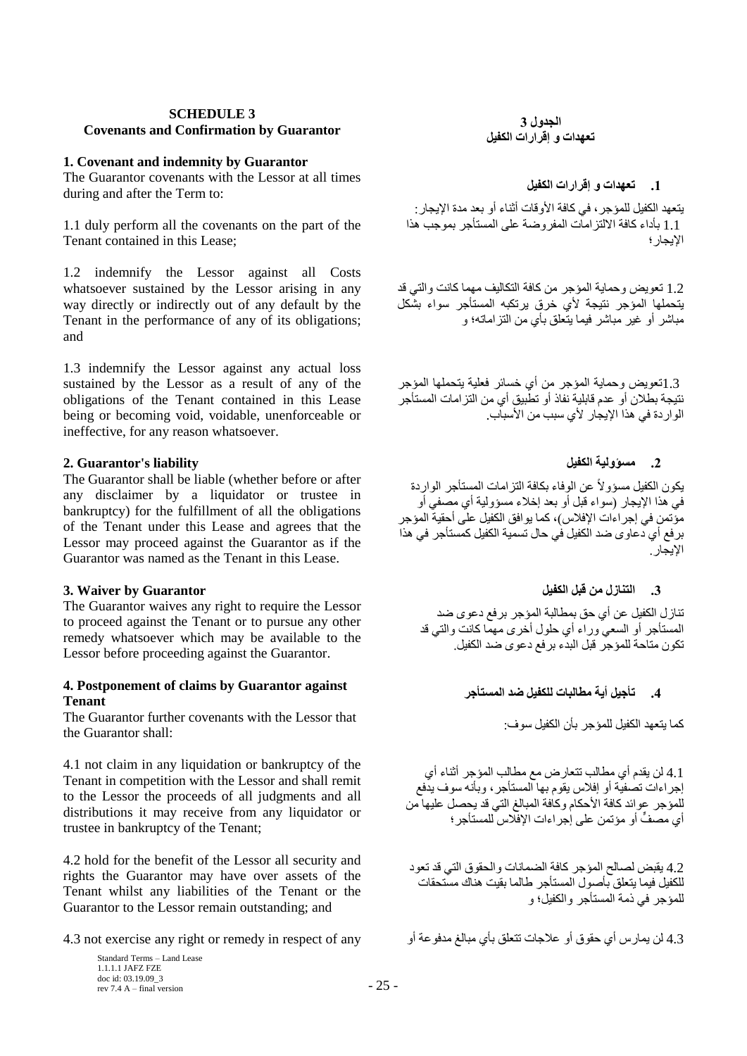## **SCHEDULE 3 Covenants and Confirmation by Guarantor**

## **1. Covenant and indemnity by Guarantor**

The Guarantor covenants with the Lessor at all times during and after the Term to:

1.1 duly perform all the covenants on the part of the Tenant contained in this Lease;

1.2 indemnify the Lessor against all Costs whatsoever sustained by the Lessor arising in any way directly or indirectly out of any default by the Tenant in the performance of any of its obligations; and

1.3 indemnify the Lessor against any actual loss sustained by the Lessor as a result of any of the obligations of the Tenant contained in this Lease being or becoming void, voidable, unenforceable or ineffective, for any reason whatsoever.

# **2. Guarantor's liability انكفيم يسؤونيت .2**

The Guarantor shall be liable (whether before or after any disclaimer by a liquidator or trustee in bankruptcy) for the fulfillment of all the obligations of the Tenant under this Lease and agrees that the Lessor may proceed against the Guarantor as if the Guarantor was named as the Tenant in this Lease.

## **.3 انتُاصل يٍ لبم انكفيم Guarantor by Waiver 3.**

The Guarantor waives any right to require the Lessor to proceed against the Tenant or to pursue any other remedy whatsoever which may be available to the Lessor before proceeding against the Guarantor.

## **4. Postponement of claims by Guarantor against Tenant**

The Guarantor further covenants with the Lessor that the Guarantor shall:

4.1 not claim in any liquidation or bankruptcy of the Tenant in competition with the Lessor and shall remit to the Lessor the proceeds of all judgments and all distributions it may receive from any liquidator or trustee in bankruptcy of the Tenant;

4.2 hold for the benefit of the Lessor all security and rights the Guarantor may have over assets of the Tenant whilst any liabilities of the Tenant or the Guarantor to the Lessor remain outstanding; and

Standard Terms – Land Lease 1.1.1.1 JAFZ FZE doc id: 03.19.09\_3  $\frac{\text{c}}{\text{c}} = 25 - \frac{25}{100} = 1$ 

**انجذول 3 تؼهذاث و إلشاساث انكفيم**

**.1 تؼهذاث و إلشاساث انكفيم**

يتعهد الكفيل للمؤجر ، في كافة الأوقات أثناء أو بعد مدة الإيجار : 1.1 بأداء كافة الالتز امات المفر وحنة على المستأجر بموجب هذا الإيجار ؛

1.2 تعويض وحماية المؤجر من كافة التكاليف مهما كانت والتي قد يتحملها المؤجر نتيجة لأي خرق يرتكبه المستأجر سواء بشكل مباشر أو غير مباشر فيما بنعلق بأى من التزاماته؛ و

1.3تعويض وحماية المؤجر من أي خسائر فعلية يتحملها المؤجر نتيجة بطلان أو عدم قابلية نفاذ أو تطّبيق أي من التز امات المستأجر الو ار دة في هذا الإبجار - لأي سبب من الأسباب.

يكون الكفيل مسؤولأ عن الوفاء بكافة النزامات المستأجر الواردة في هذا الإيجار (سواء قبل أو بعد إخلاء مسؤولية أي مصفى أو مؤتمن في إجرٍ اءات الإفلاس)، كما يو افق الكفيل على أحقية المؤجر بر فع أي دعاوي ضد الكفيل في حال تسمية الكفيل كمستأجر في هذا الإيجار

تناز ل الكفيل عن أي حق بمطالبة المؤجر بر فع دعوى ضد الْمَسْتَأْجِر أَو السَّعي وراء أي حلول أخرى مُهمَّا كانت والنَّبي قد تكون متاحة للمؤجِّر قبل البدء برفع دعوى ضد الكفيل.

# **.4 تأجيم أيت يطانباث نهكفيم ضذ انًستأجش**

كما يتعهد الكفيل للمؤجر بأن الكفيل سو ف:

4.1 لٰن يقدم أي مطالب نتعارض مع مطالب المؤجر أثناء أي إجر اءات تصفية أو إفلاس يقوّم بِها المستأجر ، وبأنه سوف يدفع للموَّجر عوائد كافة الأحكام وكافة المبالغ التي قد بحصل عليها من أي مصفٍّ أو مؤتمن على إجر اءات الإفلاس للمستأجر ؛

4.2 يقبض لصالح المؤجر كافة الضمانات والحقوق التي قد تعود للكفيل فيما يتعلق بأصول المستأجر طالما بقيت هناك مستحقات للمؤجر في ذمة المستأجر والكفل؛ و

4.3 ُٖ ٔ٣بهً أ١ ؽوٞم أٝ ػالعبد رزؼِن ثأ١ ٓجبُؾ ٓلكٞػخ أٝ any of respect in remedy or right any exercise not 4.3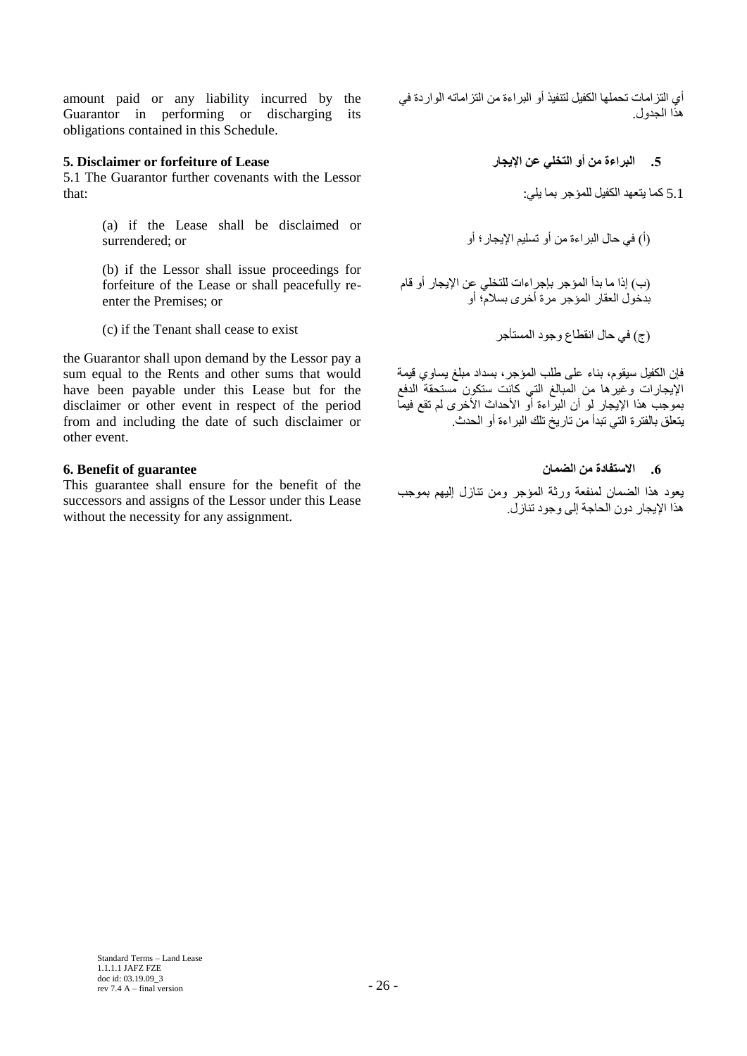amount paid or any liability incurred by the Guarantor in performing or discharging its obligations contained in this Schedule.

# **.5 انبشاءة يٍ أو انتخهي ػٍ اإليجاس Lease of forfeiture or Disclaimer 5.**

5.1 The Guarantor further covenants with the Lessor that:

> (a) if the Lease shall be disclaimed or surrendered; or

> (b) if the Lessor shall issue proceedings for forfeiture of the Lease or shall peacefully reenter the Premises; or

exist to consist to exist to exist أَج) في حال انقطاع وجود المستأجر

the Guarantor shall upon demand by the Lessor pay a sum equal to the Rents and other sums that would have been payable under this Lease but for the disclaimer or other event in respect of the period from and including the date of such disclaimer or other event.

This guarantee shall ensure for the benefit of the successors and assigns of the Lessor under this Lease without the necessity for any assignment.

أي التز امات تحملها الكفيل لتنفيذ أو البر اءة من التز اماته الواردة في هذا الجدو ل.

5.1 كما يتعهد الكفيل للمؤجر بما يلي:

)أ( ك٢ ؽبٍ اُجواءح ٖٓ أٝ رْ٤َِ اإل٣غبه؛ أٝ

(ب) إذا ما بدأ المؤجر بإجراءات للتخلي عن الإيجار أو قام بدخول العقار المؤجر مرة أخرى بسلام؛ أو

فإن الكفيل سيقوم، بناء على طلب المؤجر، بسداد مبلغ يساوي قيمة الإيجارات وغيرها من المبالغ التي كانت ستكون مستحقة الدفع بموجب هذا الإيجار لو أن البراءة أو الأحداث الأخرى لم تقع فيما بِنَعلَق بِالْفِترِ ةِ الَّتِي تَبِدأُ مِن تار بخ تلك البر اءة أو الحدث

# **.6 االستفادة يٍ انضًاٌ guarantee of Benefit 6.**

يعود هذا الضمان لمنفعة ورثة المؤجر ومن تنازل إليهم بموجب هذا الإيجار دون الحاجة إلى وجود تنازل.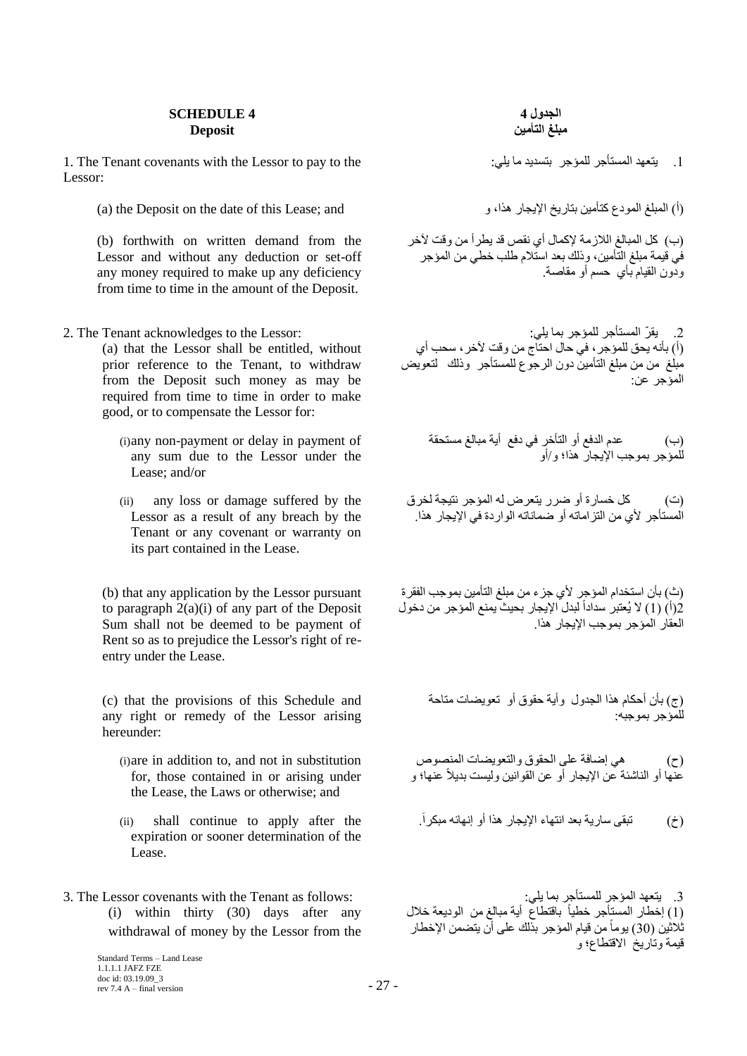## **SCHEDULE 4 Deposit**

1. The Tenant covenants with the Lessor to pay to the :٢ِ٣ بٓ ل٣لَثز إعؤُِ زأعؤَُا لٜزؼ٣ .1 Lessor:

(i) المبلغ المودع كتأمين بتاريخ الإيجار هذا، و (a) the Deposit on the date of this Lease; and

(b) forthwith on written demand from the Lessor and without any deduction or set-off any money required to make up any deficiency from time to time in the amount of the Deposit.

(a) that the Lessor shall be entitled, without prior reference to the Tenant, to withdraw from the Deposit such money as may be required from time to time in order to make good, or to compensate the Lessor for:

- (i)any non-payment or delay in payment of any sum due to the Lessor under the Lease; and/or
- (ii) any loss or damage suffered by the Lessor as a result of any breach by the Tenant or any covenant or warranty on its part contained in the Lease.

(b) that any application by the Lessor pursuant to paragraph  $2(a)(i)$  of any part of the Deposit Sum shall not be deemed to be payment of Rent so as to prejudice the Lessor's right of reentry under the Lease.

(c) that the provisions of this Schedule and any right or remedy of the Lessor arising hereunder:

- (i)are in addition to, and not in substitution for, those contained in or arising under the Lease, the Laws or otherwise; and
- expiration or sooner determination of the Lease.
- 3. The Lessor covenants with the Tenant as follows: :٢ِ٣ بٔث زأعؤَُِ إعؤُا لٜزؼ٣ .3 (i) within thirty (30) days after any withdrawal of money by the Lessor from the

**انجذول 4 يبهغ انتأييٍ**

(ب) كل المبالغ اللازمة لإكمال أي نقص قد يطرأ من وقت لأخر في قيمة مبلغ التأمين، وذلك بعد استلام طلب خطي من المؤجر ودون القيام بأي حسم أو مقاصة.

.2 ٣و ّو أَُزأعو ُِٔإعو ثٔب :٢ِ٣ :Lessor the to acknowledges Tenant The 2. (أ) بأنه يحق للمؤجر ، في حال احتاج من وقت لأخر ، سحب أي مَبْلَغَ مِنْ مِنْ مَبْلَغِ الْتَأْمَيْنِ دُونِ الرَّجُوعِ لْلْمُسْتَأْجِرٍ ۖ وَذَلِكَ ۚ لَتَعُويضَ المؤجد عن∙

> (ب) عدم الدفع أو التأخر في دفع أية مبالغ مستحقة للمؤجر بموجب الإيجار هذا؛ و/أو

(ت) كل خسار ة أو ضر ر يتعر ض له المؤجر نتيجة لخر ق الُمسْتَأْجِرِ ۖ لأَي من النّزِّ اماتَه أو ضماناتَه الّوار دة في الإبجار ۖ هذا.

(ث) بأن استخدام المؤجر لأي جزء من مبلغ التأمين بموجب الفقرة (أ) (1) لا يُعتبر سداداً لبدل الإيجار بحيث يمنع المؤجر من دخول ً الْعَقَارِ الْمُؤجِرِ بِموجِبِ الإبجارِ هذا.

(ج) بأن أحكام هذا الجدول وأية حقوق أو تعويضات متاحة للمؤجر بموجبه:

(ح) هي إضافة على الحقوق والتعويضات المنصوص عَنَّها أو الْناشَئة عن الإيجار أو عن القوانين وليست بديلاً عنها؛ و

)ؿ( . رجو٠ ٍبه٣خ ثؼل اٗزٜبء اإل٣غبه ٛنا أٝ ئٜٗبئٚ ٓجٌوا the after apply to continue shall) ii (ً

(1) إخطار المستأجر خطياً باقتطاع أية مبالغ من الوديعة خلال ً ثُلاَثْين (30) يوماً من قيام المؤجر بذلك على أن يتضمن الإخطار م<br>قبمةً وتاربخ الاقتطاع؛ و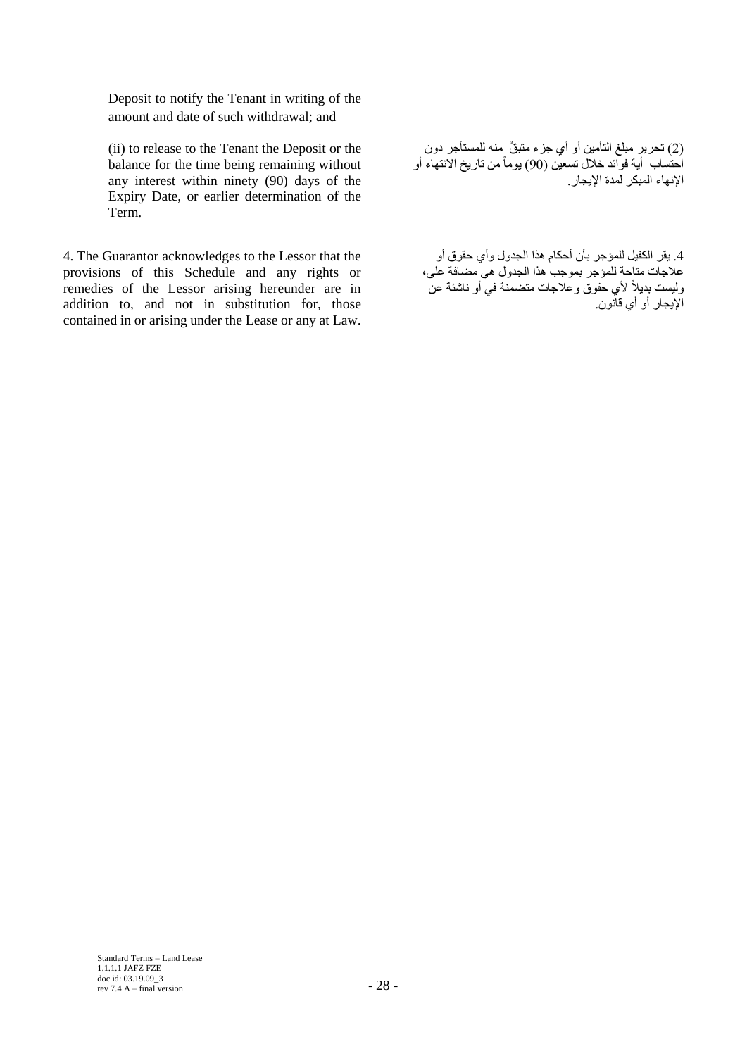Deposit to notify the Tenant in writing of the amount and date of such withdrawal; and

(ii) to release to the Tenant the Deposit or the balance for the time being remaining without any interest within ninety (90) days of the Expiry Date, or earlier determination of the Term.

4. The Guarantor acknowledges to the Lessor that the provisions of this Schedule and any rights or remedies of the Lessor arising hereunder are in addition to, and not in substitution for, those contained in or arising under the Lease or any at Law.

(2) تحرير مبلغ التأمين أو أي جزء متبقٍّ منه للمستأجر دون احتساب أية فواّئد خلال تسعين (90) يوماً من تاريخ الانتهاء أو الإنهاء المبكر لمدة الإيجار

4. يقر الكفيل للمؤجر بأن أحكام هذا الجدول وأي حقوق أو ػالعبد ٓزبؽخ ُِٔإعو ثٞٔعت ٛنا اُغلٍٝ ٢ٛ ٚٓبكخ ػ،٠ِ وليست بديلاً لأي حقوق وعلاجات متضمنة في أو ناشئة عن الإيجار أو أي قانون<sub>.</sub>